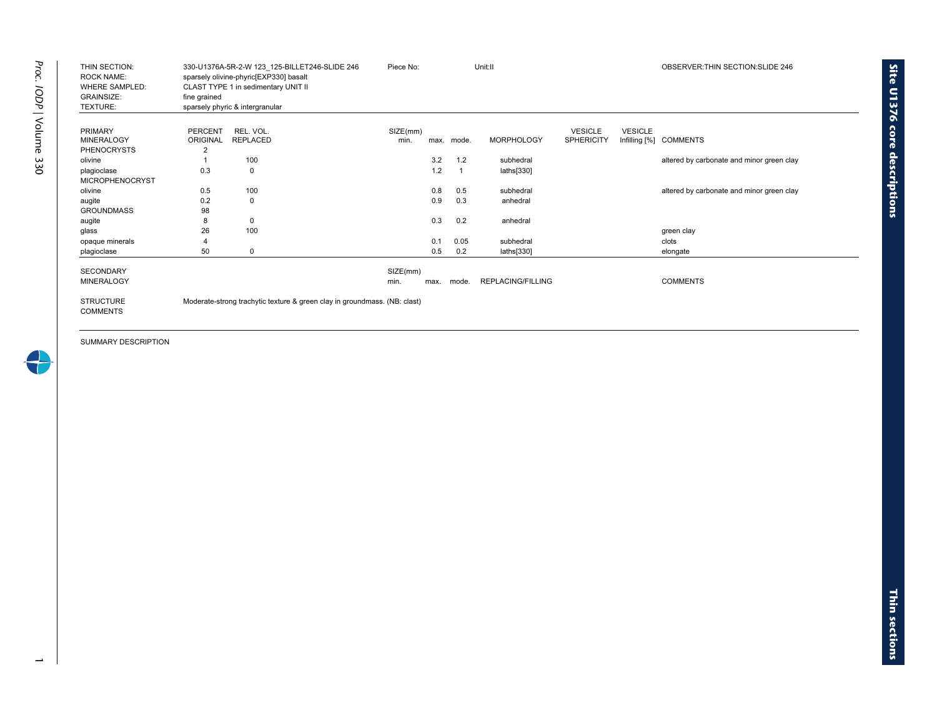| THIN SECTION:<br><b>ROCK NAME:</b><br><b>WHERE SAMPLED:</b><br><b>GRAINSIZE:</b><br>TEXTURE: | fine grained    | 330-U1376A-5R-2-W 123 125-BILLET246-SLIDE 246<br>sparsely olivine-phyric[EXP330] basalt<br>CLAST TYPE 1 in sedimentary UNIT II<br>sparsely phyric & intergranular | Piece No: |      |            | Unit:II           |                   |                | OBSERVER: THIN SECTION: SLIDE 246         |
|----------------------------------------------------------------------------------------------|-----------------|-------------------------------------------------------------------------------------------------------------------------------------------------------------------|-----------|------|------------|-------------------|-------------------|----------------|-------------------------------------------|
|                                                                                              |                 |                                                                                                                                                                   |           |      |            |                   |                   |                |                                           |
| PRIMARY                                                                                      | PERCENT         | REL. VOL.                                                                                                                                                         | SIZE(mm)  |      |            |                   | <b>VESICLE</b>    | <b>VESICLE</b> |                                           |
| <b>MINERALOGY</b>                                                                            | <b>ORIGINAL</b> | <b>REPLACED</b>                                                                                                                                                   | min.      |      | max. mode. | <b>MORPHOLOGY</b> | <b>SPHERICITY</b> | Infilling [%]  | <b>COMMENTS</b>                           |
| <b>PHENOCRYSTS</b>                                                                           | 2               |                                                                                                                                                                   |           |      |            |                   |                   |                |                                           |
| olivine                                                                                      |                 | 100                                                                                                                                                               |           | 3.2  | 1.2        | subhedral         |                   |                | altered by carbonate and minor green clay |
| plagioclase                                                                                  | 0.3             | 0                                                                                                                                                                 |           | 1.2  | 1          | laths[330]        |                   |                |                                           |
| <b>MICROPHENOCRYST</b>                                                                       |                 |                                                                                                                                                                   |           |      |            |                   |                   |                |                                           |
| olivine                                                                                      | 0.5             | 100                                                                                                                                                               |           | 0.8  | 0.5        | subhedral         |                   |                | altered by carbonate and minor green clay |
| augite                                                                                       | 0.2             | $\Omega$                                                                                                                                                          |           | 0.9  | 0.3        | anhedral          |                   |                |                                           |
| <b>GROUNDMASS</b>                                                                            | 98              |                                                                                                                                                                   |           |      |            |                   |                   |                |                                           |
| augite                                                                                       | 8               | $\mathbf 0$                                                                                                                                                       |           | 0.3  | 0.2        | anhedral          |                   |                |                                           |
| glass                                                                                        | 26              | 100                                                                                                                                                               |           |      |            |                   |                   |                | green clay                                |
| opaque minerals                                                                              |                 |                                                                                                                                                                   |           | 0.1  | 0.05       | subhedral         |                   |                | clots                                     |
| plagioclase                                                                                  | 50              | 0                                                                                                                                                                 |           | 0.5  | 0.2        | laths[330]        |                   |                | elongate                                  |
|                                                                                              |                 |                                                                                                                                                                   |           |      |            |                   |                   |                |                                           |
| <b>SECONDARY</b>                                                                             |                 |                                                                                                                                                                   | SIZE(mm)  |      |            |                   |                   |                |                                           |
| <b>MINERALOGY</b>                                                                            |                 |                                                                                                                                                                   | min.      | max. | mode.      | REPLACING/FILLING |                   |                | <b>COMMENTS</b>                           |
| <b>STRUCTURE</b><br><b>COMMENTS</b>                                                          |                 | Moderate-strong trachytic texture & green clay in groundmass. (NB: clast)                                                                                         |           |      |            |                   |                   |                |                                           |

**Site U1376 core** 

**descriptions**

 $\rightarrow$ 

 $\overline{\phantom{0}}$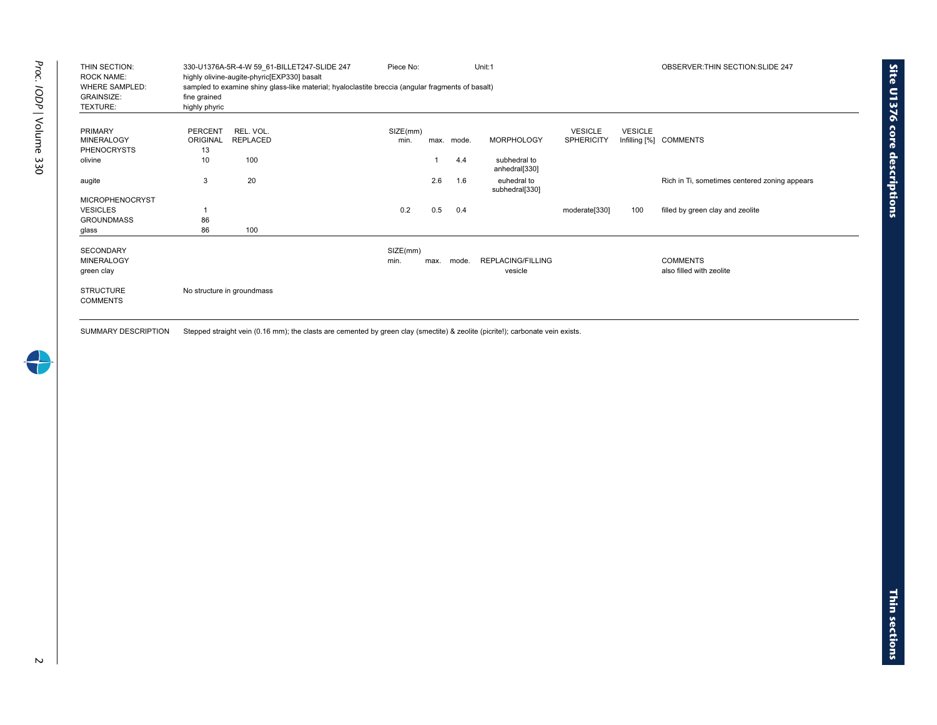| THIN SECTION:<br><b>ROCK NAME:</b><br><b>WHERE SAMPLED:</b><br><b>GRAINSIZE:</b><br>TEXTURE: | fine grained<br>highly phyric    | 330-U1376A-5R-4-W 59 61-BILLET247-SLIDE 247<br>highly olivine-augite-phyric[EXP330] basalt<br>sampled to examine shiny glass-like material; hyaloclastite breccia (angular fragments of basalt) | OBSERVER: THIN SECTION: SLIDE 247 |      |       |                                     |                                     |                                 |                                               |
|----------------------------------------------------------------------------------------------|----------------------------------|-------------------------------------------------------------------------------------------------------------------------------------------------------------------------------------------------|-----------------------------------|------|-------|-------------------------------------|-------------------------------------|---------------------------------|-----------------------------------------------|
| <b>PRIMARY</b><br><b>MINERALOGY</b><br><b>PHENOCRYSTS</b>                                    | <b>PERCENT</b><br>ORIGINAL<br>13 | REL. VOL.<br><b>REPLACED</b>                                                                                                                                                                    | SIZE(mm)<br>min.                  | max. | mode. | <b>MORPHOLOGY</b>                   | <b>VESICLE</b><br><b>SPHERICITY</b> | <b>VESICLE</b><br>Infilling [%] | <b>COMMENTS</b>                               |
| olivine                                                                                      | 10                               | 100                                                                                                                                                                                             |                                   |      | 4.4   | subhedral to<br>anhedral[330]       |                                     |                                 |                                               |
| augite                                                                                       | 3                                | 20                                                                                                                                                                                              |                                   | 2.6  | 1.6   | euhedral to<br>subhedral[330]       |                                     |                                 | Rich in Ti, sometimes centered zoning appears |
| <b>MICROPHENOCRYST</b>                                                                       |                                  |                                                                                                                                                                                                 |                                   |      |       |                                     |                                     |                                 |                                               |
| <b>VESICLES</b>                                                                              |                                  |                                                                                                                                                                                                 | 0.2                               | 0.5  | 0.4   |                                     | moderate[330]                       | 100                             | filled by green clay and zeolite              |
| <b>GROUNDMASS</b>                                                                            | 86                               |                                                                                                                                                                                                 |                                   |      |       |                                     |                                     |                                 |                                               |
| glass                                                                                        | 86                               | 100                                                                                                                                                                                             |                                   |      |       |                                     |                                     |                                 |                                               |
| <b>SECONDARY</b><br><b>MINERALOGY</b><br>green clay                                          |                                  |                                                                                                                                                                                                 | SIZE(mm)<br>min.                  | max. | mode. | <b>REPLACING/FILLING</b><br>vesicle |                                     |                                 | <b>COMMENTS</b><br>also filled with zeolite   |
| <b>STRUCTURE</b><br><b>COMMENTS</b>                                                          |                                  | No structure in groundmass                                                                                                                                                                      |                                   |      |       |                                     |                                     |                                 |                                               |

SUMMARY DESCRIPTION Stepped straight vein (0.16 mm); the clasts are cemented by green clay (smectite) & zeolite (picrite!); carbonate vein exists.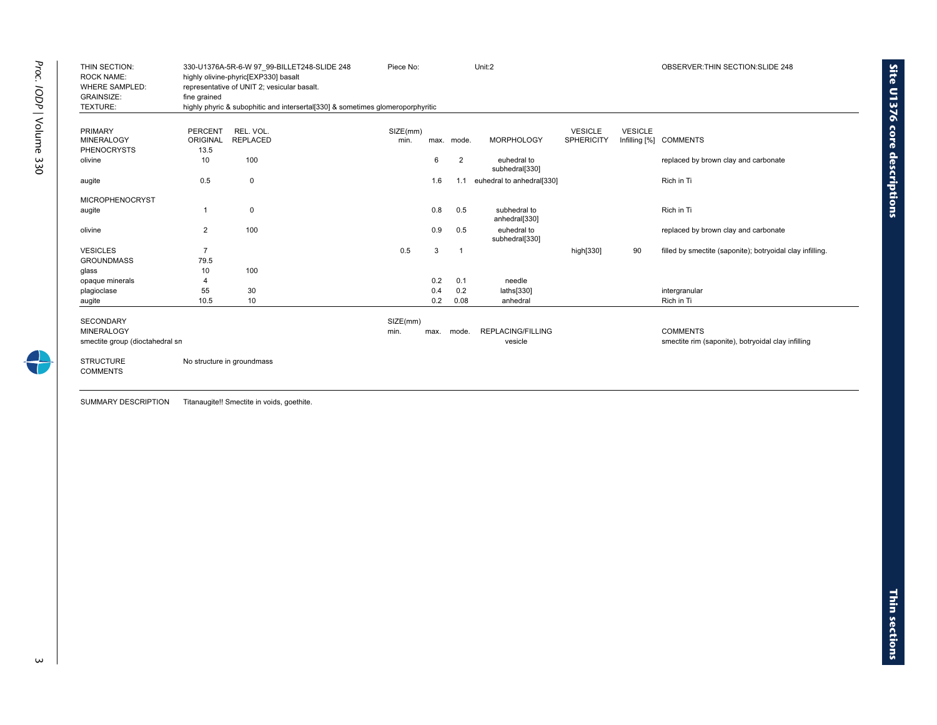| THIN SECTION:<br><b>ROCK NAME:</b> |                | 330-U1376A-5R-6-W 97 99-BILLET248-SLIDE 248<br>highly olivine-phyric[EXP330] basalt | Piece No: |      |                | Unit:2                        |                   |                | OBSERVER: THIN SECTION: SLIDE 248                         |
|------------------------------------|----------------|-------------------------------------------------------------------------------------|-----------|------|----------------|-------------------------------|-------------------|----------------|-----------------------------------------------------------|
| <b>WHERE SAMPLED:</b>              |                | representative of UNIT 2; vesicular basalt.                                         |           |      |                |                               |                   |                |                                                           |
| <b>GRAINSIZE:</b>                  | fine grained   |                                                                                     |           |      |                |                               |                   |                |                                                           |
| TEXTURE:                           |                | highly phyric & subophitic and intersertal[330] & sometimes glomeroporphyritic      |           |      |                |                               |                   |                |                                                           |
|                                    |                |                                                                                     |           |      |                |                               |                   |                |                                                           |
| PRIMARY                            | PERCENT        | REL. VOL.                                                                           | SIZE(mm)  |      |                |                               | <b>VESICLE</b>    | <b>VESICLE</b> |                                                           |
| <b>MINERALOGY</b>                  | ORIGINAL       | <b>REPLACED</b>                                                                     | min.      | max. | mode.          | <b>MORPHOLOGY</b>             | <b>SPHERICITY</b> |                | Infilling [%] COMMENTS                                    |
| <b>PHENOCRYSTS</b>                 | 13.5           |                                                                                     |           |      |                |                               |                   |                |                                                           |
| olivine                            | 10             | 100                                                                                 |           | 6    | 2              | euhedral to<br>subhedral[330] |                   |                | replaced by brown clay and carbonate                      |
| augite                             | 0.5            | $\mathbf 0$                                                                         |           | 1.6  | 1.1            | euhedral to anhedral[330]     |                   |                | Rich in Ti                                                |
| <b>MICROPHENOCRYST</b>             |                |                                                                                     |           |      |                |                               |                   |                |                                                           |
| augite                             | -1             | 0                                                                                   |           | 0.8  | 0.5            | subhedral to<br>anhedral[330] |                   |                | Rich in Ti                                                |
| olivine                            | $\overline{2}$ | 100                                                                                 |           | 0.9  | 0.5            | euhedral to<br>subhedral[330] |                   |                | replaced by brown clay and carbonate                      |
| <b>VESICLES</b>                    | $\overline{7}$ |                                                                                     | 0.5       | 3    | $\overline{1}$ |                               | high[330]         | 90             | filled by smectite (saponite); botryoidal clay infilling. |
| <b>GROUNDMASS</b>                  | 79.5           |                                                                                     |           |      |                |                               |                   |                |                                                           |
| glass                              | 10             | 100                                                                                 |           |      |                |                               |                   |                |                                                           |
| opaque minerals                    | $\overline{4}$ |                                                                                     |           | 0.2  | 0.1            | needle                        |                   |                |                                                           |
| plagioclase                        | 55             | 30                                                                                  |           | 0.4  | 0.2            | laths[330]                    |                   |                | intergranular                                             |
| augite                             | 10.5           | 10                                                                                  |           | 0.2  | 0.08           | anhedral                      |                   |                | Rich in Ti                                                |
| <b>SECONDARY</b>                   |                |                                                                                     | SIZE(mm)  |      |                |                               |                   |                |                                                           |
| <b>MINERALOGY</b>                  |                |                                                                                     | min.      | max. | mode.          | <b>REPLACING/FILLING</b>      |                   |                | <b>COMMENTS</b>                                           |
| smectite group (dioctahedral sn    |                |                                                                                     |           |      |                | vesicle                       |                   |                | smectite rim (saponite), botryoidal clay infilling        |
| <b>STRUCTURE</b>                   |                | No structure in groundmass                                                          |           |      |                |                               |                   |                |                                                           |
| <b>COMMENTS</b>                    |                |                                                                                     |           |      |                |                               |                   |                |                                                           |
|                                    |                |                                                                                     |           |      |                |                               |                   |                |                                                           |
|                                    |                |                                                                                     |           |      |                |                               |                   |                |                                                           |

SUMMARY DESCRIPTION Titanaugite!! Smectite in voids, goethite.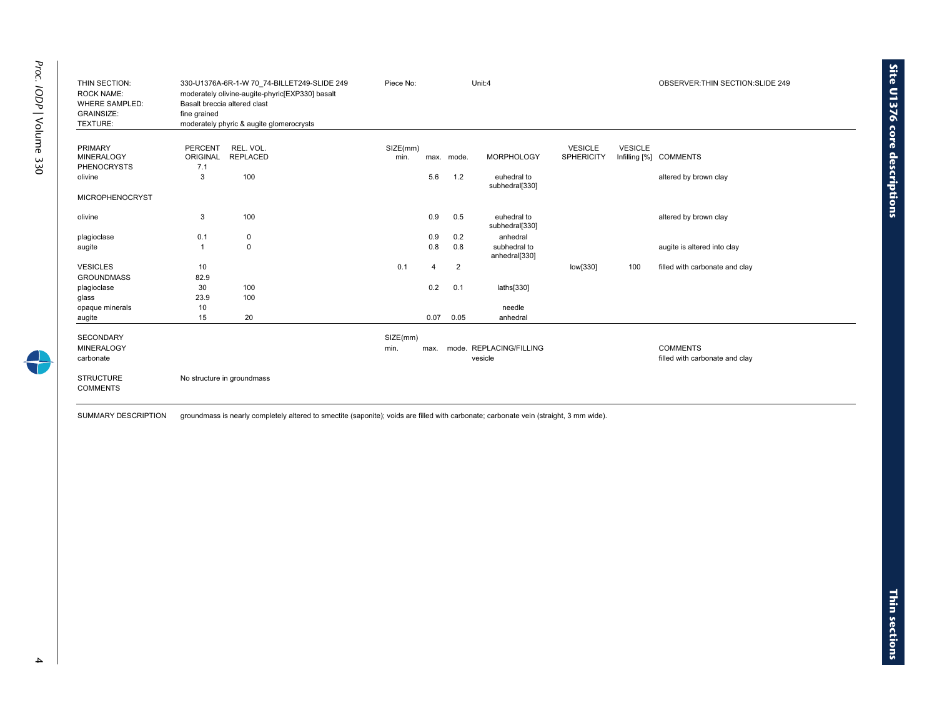| THIN SECTION:<br><b>ROCK NAME:</b><br><b>WHERE SAMPLED:</b><br><b>GRAINSIZE:</b><br>TEXTURE: | fine grained                      | 330-U1376A-6R-1-W 70 74-BILLET249-SLIDE 249<br>moderately olivine-augite-phyric[EXP330] basalt<br>Basalt breccia altered clast<br>moderately phyric & augite glomerocrysts | Piece No:        |                |            | Unit:4                        |                                     |                | OBSERVER: THIN SECTION: SLIDE 249 |
|----------------------------------------------------------------------------------------------|-----------------------------------|----------------------------------------------------------------------------------------------------------------------------------------------------------------------------|------------------|----------------|------------|-------------------------------|-------------------------------------|----------------|-----------------------------------|
| <b>PRIMARY</b><br><b>MINERALOGY</b>                                                          | <b>PERCENT</b><br><b>ORIGINAL</b> | REL. VOL.<br><b>REPLACED</b>                                                                                                                                               | SIZE(mm)<br>min. |                | max. mode. | <b>MORPHOLOGY</b>             | <b>VESICLE</b><br><b>SPHERICITY</b> | <b>VESICLE</b> | Infilling [%] COMMENTS            |
| <b>PHENOCRYSTS</b><br>olivine                                                                | 7.1<br>3                          | 100                                                                                                                                                                        |                  | 5.6            | 1.2        | euhedral to<br>subhedral[330] |                                     |                | altered by brown clay             |
| <b>MICROPHENOCRYST</b>                                                                       |                                   |                                                                                                                                                                            |                  |                |            |                               |                                     |                |                                   |
| olivine                                                                                      | 3                                 | 100                                                                                                                                                                        |                  | 0.9            | 0.5        | euhedral to<br>subhedral[330] |                                     |                | altered by brown clay             |
| plagioclase                                                                                  | 0.1                               | 0                                                                                                                                                                          |                  | 0.9            | 0.2        | anhedral                      |                                     |                |                                   |
| augite                                                                                       | $\overline{1}$                    | $\mathbf 0$                                                                                                                                                                |                  | 0.8            | 0.8        | subhedral to<br>anhedral[330] |                                     |                | augite is altered into clay       |
| <b>VESICLES</b>                                                                              | 10                                |                                                                                                                                                                            | 0.1              | $\overline{4}$ | 2          |                               | low[330]                            | 100            | filled with carbonate and clay    |
| <b>GROUNDMASS</b>                                                                            | 82.9                              |                                                                                                                                                                            |                  |                |            |                               |                                     |                |                                   |
| plagioclase                                                                                  | 30                                | 100                                                                                                                                                                        |                  | 0.2            | 0.1        | laths[330]                    |                                     |                |                                   |
| glass                                                                                        | 23.9                              | 100                                                                                                                                                                        |                  |                |            |                               |                                     |                |                                   |
| opaque minerals                                                                              | 10                                |                                                                                                                                                                            |                  |                |            | needle                        |                                     |                |                                   |
| augite                                                                                       | 15                                | 20                                                                                                                                                                         |                  | 0.07           | 0.05       | anhedral                      |                                     |                |                                   |
| <b>SECONDARY</b>                                                                             |                                   |                                                                                                                                                                            | SIZE(mm)         |                |            |                               |                                     |                |                                   |
| <b>MINERALOGY</b>                                                                            |                                   |                                                                                                                                                                            | min.             | max.           |            | mode. REPLACING/FILLING       |                                     |                | <b>COMMENTS</b>                   |
| carbonate                                                                                    |                                   |                                                                                                                                                                            |                  |                |            | vesicle                       |                                     |                | filled with carbonate and clay    |
| <b>STRUCTURE</b><br><b>COMMENTS</b>                                                          |                                   | No structure in groundmass                                                                                                                                                 |                  |                |            |                               |                                     |                |                                   |
|                                                                                              |                                   |                                                                                                                                                                            |                  |                |            |                               |                                     |                |                                   |

SUMMARY DESCRIPTION groundmass is nearly completely altered to smectite (saponite); voids are filled with carbonate; carbonate vein (straight, 3 mm wide).

**Site U1376 core**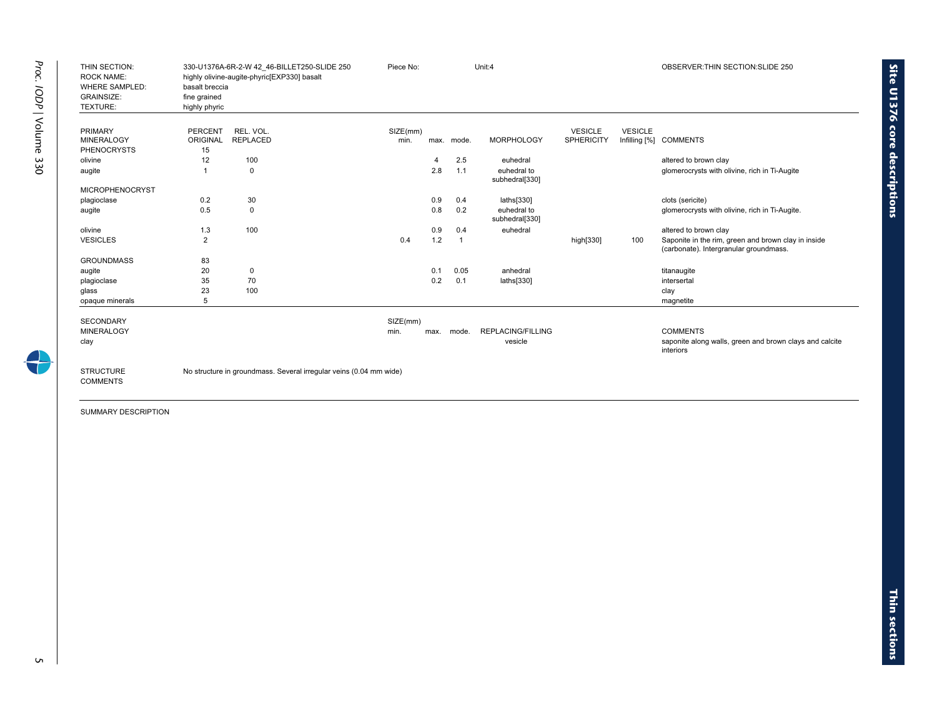| THIN SECTION:<br><b>ROCK NAME:</b><br><b>WHERE SAMPLED:</b><br><b>GRAINSIZE:</b><br>TEXTURE: | basalt breccia<br>fine grained<br>highly phyric | 330-U1376A-6R-2-W 42 46-BILLET250-SLIDE 250<br>highly olivine-augite-phyric[EXP330] basalt | Piece No:        |                |                | Unit:4                              |                                     |                | OBSERVER: THIN SECTION: SLIDE 250                                                             |
|----------------------------------------------------------------------------------------------|-------------------------------------------------|--------------------------------------------------------------------------------------------|------------------|----------------|----------------|-------------------------------------|-------------------------------------|----------------|-----------------------------------------------------------------------------------------------|
| <b>PRIMARY</b><br><b>MINERALOGY</b>                                                          | <b>PERCENT</b><br>ORIGINAL                      | REL. VOL.<br><b>REPLACED</b>                                                               | SIZE(mm)<br>min. |                | max. mode.     | <b>MORPHOLOGY</b>                   | <b>VESICLE</b><br><b>SPHERICITY</b> | <b>VESICLE</b> | Infilling [%] COMMENTS                                                                        |
| <b>PHENOCRYSTS</b>                                                                           | 15                                              |                                                                                            |                  |                |                |                                     |                                     |                |                                                                                               |
| olivine                                                                                      | 12                                              | 100                                                                                        |                  | $\overline{4}$ | 2.5            | euhedral                            |                                     |                | altered to brown clay                                                                         |
| augite                                                                                       |                                                 | $\Omega$                                                                                   |                  | 2.8            | 1.1            | euhedral to<br>subhedral[330]       |                                     |                | glomerocrysts with olivine, rich in Ti-Augite                                                 |
| <b>MICROPHENOCRYST</b>                                                                       |                                                 |                                                                                            |                  |                |                |                                     |                                     |                |                                                                                               |
| plagioclase                                                                                  | 0.2                                             | 30                                                                                         |                  | 0.9            | 0.4            | laths[330]                          |                                     |                | clots (sericite)                                                                              |
| augite                                                                                       | 0.5                                             | $\mathbf 0$                                                                                |                  | 0.8            | 0.2            | euhedral to<br>subhedral[330]       |                                     |                | glomerocrysts with olivine, rich in Ti-Augite.                                                |
| olivine                                                                                      | 1.3                                             | 100                                                                                        |                  | 0.9            | 0.4            | euhedral                            |                                     |                | altered to brown clay                                                                         |
| <b>VESICLES</b>                                                                              | $\overline{2}$                                  |                                                                                            | 0.4              | 1.2            | $\overline{1}$ |                                     | high[330]                           | 100            | Saponite in the rim, green and brown clay in inside<br>(carbonate). Intergranular groundmass. |
| <b>GROUNDMASS</b>                                                                            | 83                                              |                                                                                            |                  |                |                |                                     |                                     |                |                                                                                               |
| augite                                                                                       | 20                                              | 0                                                                                          |                  | 0.1            | 0.05           | anhedral                            |                                     |                | titanaugite                                                                                   |
| plagioclase                                                                                  | 35                                              | 70                                                                                         |                  | 0.2            | 0.1            | laths[330]                          |                                     |                | intersertal                                                                                   |
| glass                                                                                        | 23                                              | 100                                                                                        |                  |                |                |                                     |                                     |                | clay                                                                                          |
| opaque minerals                                                                              | 5                                               |                                                                                            |                  |                |                |                                     |                                     |                | magnetite                                                                                     |
| <b>SECONDARY</b>                                                                             |                                                 |                                                                                            | SIZE(mm)         |                |                |                                     |                                     |                |                                                                                               |
| <b>MINERALOGY</b><br>clay                                                                    |                                                 |                                                                                            | min.             | max.           | mode.          | <b>REPLACING/FILLING</b><br>vesicle |                                     |                | <b>COMMENTS</b><br>saponite along walls, green and brown clays and calcite<br>interiors       |
| <b>STRUCTURE</b><br><b>COMMENTS</b>                                                          |                                                 | No structure in groundmass. Several irregular veins (0.04 mm wide)                         |                  |                |                |                                     |                                     |                |                                                                                               |

**Site U1376 core** 

**descriptions**

 $\mathsf{C}$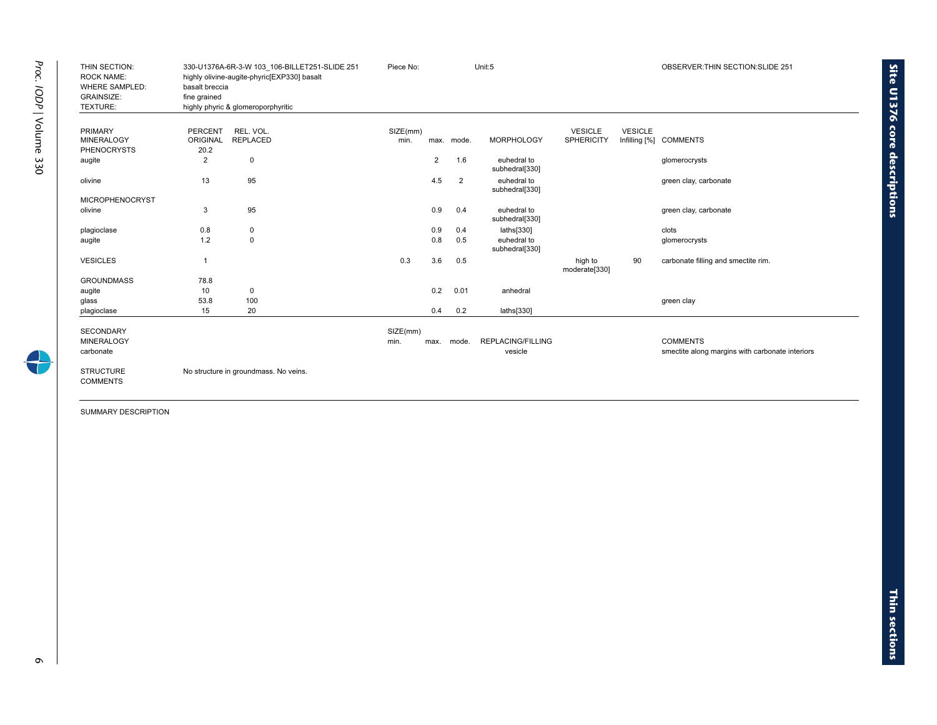| THIN SECTION:<br><b>ROCK NAME:</b><br><b>WHERE SAMPLED:</b><br><b>GRAINSIZE:</b><br>TEXTURE: | basalt breccia<br>fine grained | 330-U1376A-6R-3-W 103 106-BILLET251-SLIDE 251<br>highly olivine-augite-phyric[EXP330] basalt<br>highly phyric & glomeroporphyritic | Piece No: | Unit:5         |                |                               |                          | OBSERVER: THIN SECTION: SLIDE 251 |                                                 |
|----------------------------------------------------------------------------------------------|--------------------------------|------------------------------------------------------------------------------------------------------------------------------------|-----------|----------------|----------------|-------------------------------|--------------------------|-----------------------------------|-------------------------------------------------|
|                                                                                              |                                |                                                                                                                                    |           |                |                |                               |                          |                                   |                                                 |
| <b>PRIMARY</b>                                                                               | PERCENT                        | REL. VOL.                                                                                                                          | SIZE(mm)  |                |                |                               | <b>VESICLE</b>           | <b>VESICLE</b>                    |                                                 |
| <b>MINERALOGY</b>                                                                            | ORIGINAL                       | <b>REPLACED</b>                                                                                                                    | min.      |                | max. mode.     | <b>MORPHOLOGY</b>             | <b>SPHERICITY</b>        |                                   | Infilling [%] COMMENTS                          |
| <b>PHENOCRYSTS</b><br>augite                                                                 | 20.2<br>$\overline{2}$         | $\mathbf 0$                                                                                                                        |           | $\overline{2}$ | 1.6            | euhedral to                   |                          |                                   | glomerocrysts                                   |
|                                                                                              |                                |                                                                                                                                    |           |                |                | subhedral[330]                |                          |                                   |                                                 |
| olivine                                                                                      | 13                             | 95                                                                                                                                 |           | 4.5            | $\overline{2}$ | euhedral to<br>subhedral[330] |                          |                                   | green clay, carbonate                           |
| <b>MICROPHENOCRYST</b>                                                                       |                                |                                                                                                                                    |           |                |                |                               |                          |                                   |                                                 |
| olivine                                                                                      | 3                              | 95                                                                                                                                 |           | 0.9            | 0.4            | euhedral to<br>subhedral[330] |                          |                                   | green clay, carbonate                           |
| plagioclase                                                                                  | 0.8                            | 0                                                                                                                                  |           | 0.9            | 0.4            | laths[330]                    |                          |                                   | clots                                           |
| augite                                                                                       | 1.2                            | 0                                                                                                                                  |           | 0.8            | 0.5            | euhedral to<br>subhedral[330] |                          |                                   | glomerocrysts                                   |
| <b>VESICLES</b>                                                                              | $\mathbf{1}$                   |                                                                                                                                    | 0.3       | 3.6            | 0.5            |                               | high to<br>moderate[330] | 90                                | carbonate filling and smectite rim.             |
| <b>GROUNDMASS</b>                                                                            | 78.8                           |                                                                                                                                    |           |                |                |                               |                          |                                   |                                                 |
| augite                                                                                       | 10                             | $\mathbf 0$                                                                                                                        |           | 0.2            | 0.01           | anhedral                      |                          |                                   |                                                 |
| glass                                                                                        | 53.8                           | 100                                                                                                                                |           |                |                |                               |                          |                                   | green clay                                      |
| plagioclase                                                                                  | 15                             | 20                                                                                                                                 |           | 0.4            | 0.2            | laths[330]                    |                          |                                   |                                                 |
| <b>SECONDARY</b>                                                                             |                                |                                                                                                                                    | SIZE(mm)  |                |                |                               |                          |                                   |                                                 |
| <b>MINERALOGY</b>                                                                            |                                |                                                                                                                                    | min.      | max.           | mode.          | <b>REPLACING/FILLING</b>      |                          |                                   | <b>COMMENTS</b>                                 |
| carbonate                                                                                    |                                |                                                                                                                                    |           |                |                | vesicle                       |                          |                                   | smectite along margins with carbonate interiors |
| <b>STRUCTURE</b><br><b>COMMENTS</b>                                                          |                                | No structure in groundmass. No veins.                                                                                              |           |                |                |                               |                          |                                   |                                                 |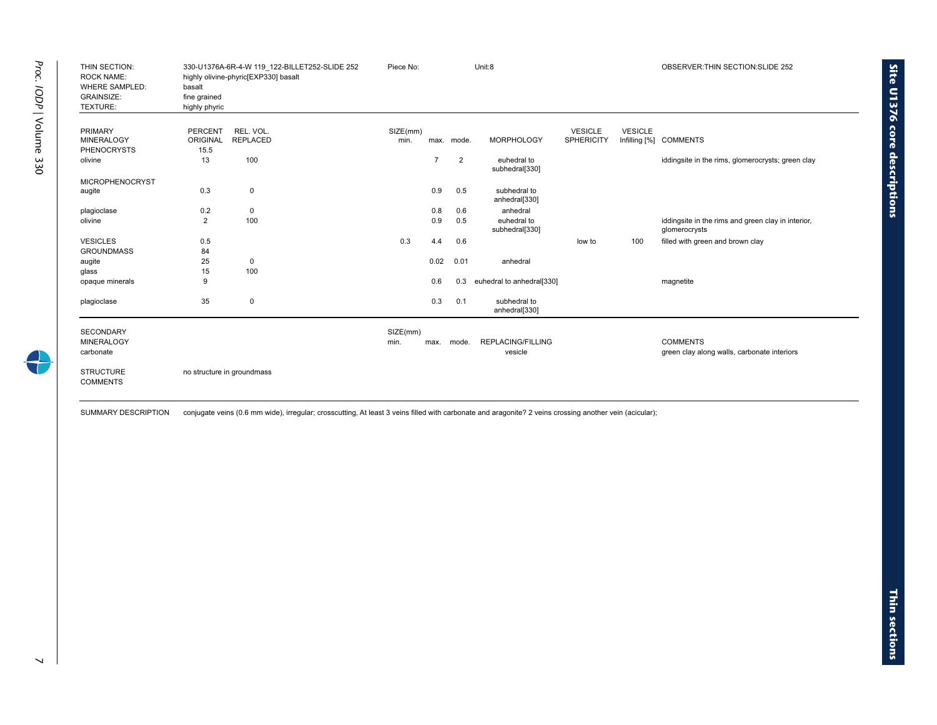| THIN SECTION:<br><b>ROCK NAME:</b><br><b>WHERE SAMPLED:</b><br><b>GRAINSIZE:</b><br>TEXTURE: | basalt<br>fine grained<br>highly phyric | 330-U1376A-6R-4-W 119 122-BILLET252-SLIDE 252<br>highly olivine-phyric[EXP330] basalt | Piece No: |                |            | Unit:8                        |                   |                | OBSERVER: THIN SECTION: SLIDE 252                                   |
|----------------------------------------------------------------------------------------------|-----------------------------------------|---------------------------------------------------------------------------------------|-----------|----------------|------------|-------------------------------|-------------------|----------------|---------------------------------------------------------------------|
| <b>PRIMARY</b><br><b>MINERALOGY</b>                                                          | PERCENT                                 | REL. VOL.                                                                             | SIZE(mm)  |                |            | <b>MORPHOLOGY</b>             | <b>VESICLE</b>    | <b>VESICLE</b> |                                                                     |
| <b>PHENOCRYSTS</b>                                                                           | ORIGINAL<br>15.5                        | <b>REPLACED</b>                                                                       | min.      |                | max. mode. |                               | <b>SPHERICITY</b> |                | Infilling [%] COMMENTS                                              |
| olivine                                                                                      | 13                                      | 100                                                                                   |           | $\overline{7}$ | 2          | euhedral to<br>subhedral[330] |                   |                | iddingsite in the rims, glomerocrysts; green clay                   |
| <b>MICROPHENOCRYST</b>                                                                       |                                         |                                                                                       |           |                |            |                               |                   |                |                                                                     |
| augite                                                                                       | 0.3                                     | 0                                                                                     |           | 0.9            | 0.5        | subhedral to<br>anhedral[330] |                   |                |                                                                     |
| plagioclase                                                                                  | 0.2                                     | 0                                                                                     |           | 0.8            | 0.6        | anhedral                      |                   |                |                                                                     |
| olivine                                                                                      | $\overline{2}$                          | 100                                                                                   |           | 0.9            | 0.5        | euhedral to<br>subhedral[330] |                   |                | iddingsite in the rims and green clay in interior,<br>glomerocrysts |
| <b>VESICLES</b>                                                                              | 0.5                                     |                                                                                       | 0.3       | 4.4            | 0.6        |                               | low to            | 100            | filled with green and brown clay                                    |
| <b>GROUNDMASS</b>                                                                            | 84                                      |                                                                                       |           |                |            |                               |                   |                |                                                                     |
| augite                                                                                       | 25                                      | 0                                                                                     |           | 0.02           | 0.01       | anhedral                      |                   |                |                                                                     |
| glass                                                                                        | 15                                      | 100                                                                                   |           |                |            |                               |                   |                |                                                                     |
| opaque minerals                                                                              | 9                                       |                                                                                       |           | 0.6            | 0.3        | euhedral to anhedral[330]     |                   |                | magnetite                                                           |
| plagioclase                                                                                  | 35                                      | 0                                                                                     |           | 0.3            | 0.1        | subhedral to<br>anhedral[330] |                   |                |                                                                     |
| <b>SECONDARY</b>                                                                             |                                         |                                                                                       | SIZE(mm)  |                |            |                               |                   |                |                                                                     |
| <b>MINERALOGY</b>                                                                            |                                         |                                                                                       | min.      | max.           | mode.      | <b>REPLACING/FILLING</b>      |                   |                | <b>COMMENTS</b>                                                     |
| carbonate                                                                                    |                                         |                                                                                       |           |                |            | vesicle                       |                   |                | green clay along walls, carbonate interiors                         |
| <b>STRUCTURE</b><br><b>COMMENTS</b>                                                          |                                         | no structure in groundmass                                                            |           |                |            |                               |                   |                |                                                                     |

SUMMARY DESCRIPTION conjugate veins (0.6 mm wide), irregular; crosscutting, At least 3 veins filled with carbonate and aragonite? 2 veins crossing another vein (acicular);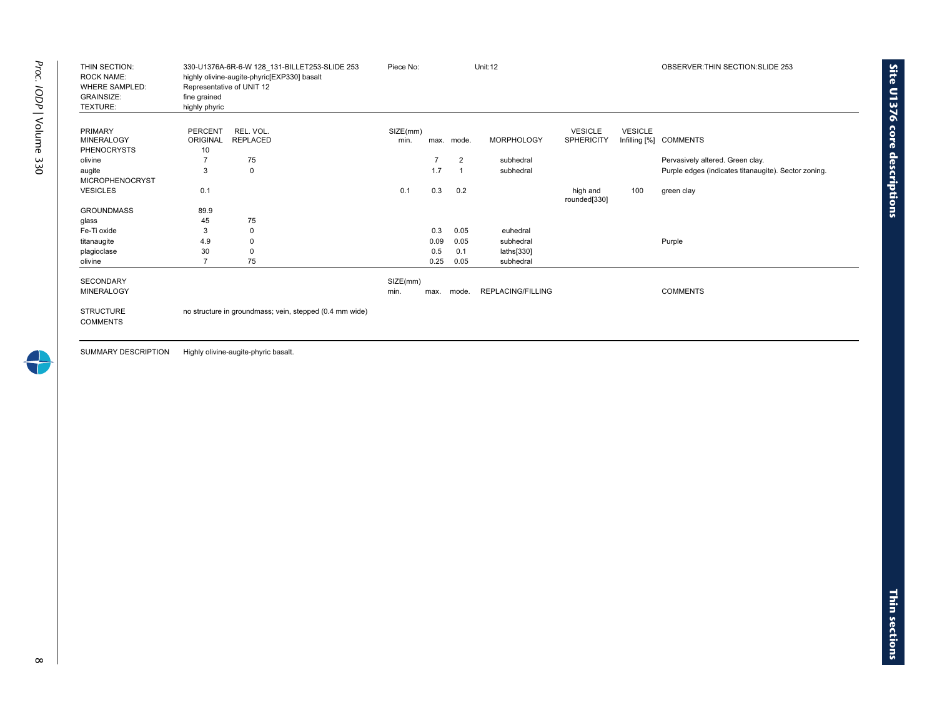| PERCENT<br><b>ORIGINAL</b> | REL. VOL.       |                                                                              |      |             |                          |                          |                |                                                      |
|----------------------------|-----------------|------------------------------------------------------------------------------|------|-------------|--------------------------|--------------------------|----------------|------------------------------------------------------|
|                            |                 | SIZE(mm)                                                                     |      |             |                          | <b>VESICLE</b>           | <b>VESICLE</b> |                                                      |
|                            | <b>REPLACED</b> | min.                                                                         |      | max. mode.  | <b>MORPHOLOGY</b>        | <b>SPHERICITY</b>        |                | Infilling [%] COMMENTS                               |
|                            |                 |                                                                              |      |             |                          |                          |                | Pervasively altered. Green clay.                     |
|                            |                 |                                                                              |      |             |                          |                          |                | Purple edges (indicates titanaugite). Sector zoning. |
|                            |                 |                                                                              |      |             |                          |                          |                |                                                      |
| 0.1                        |                 | 0.1                                                                          | 0.3  | 0.2         |                          | high and<br>rounded[330] | 100            | green clay                                           |
| 89.9                       |                 |                                                                              |      |             |                          |                          |                |                                                      |
| 45                         | 75              |                                                                              |      |             |                          |                          |                |                                                      |
| 3                          | $\mathbf 0$     |                                                                              | 0.3  | 0.05        | euhedral                 |                          |                |                                                      |
| 4.9                        | 0               |                                                                              | 0.09 | 0.05        | subhedral                |                          |                | Purple                                               |
| 30                         | $\Omega$        |                                                                              | 0.5  | 0.1         | laths[330]               |                          |                |                                                      |
| $\overline{7}$             | 75              |                                                                              | 0.25 | 0.05        | subhedral                |                          |                |                                                      |
|                            |                 | SIZE(mm)                                                                     |      |             |                          |                          |                |                                                      |
|                            |                 | min.                                                                         |      | mode.       | <b>REPLACING/FILLING</b> |                          |                | <b>COMMENTS</b>                                      |
|                            |                 |                                                                              |      |             |                          |                          |                |                                                      |
|                            | 10<br>3         | 75<br>$\mathbf 0$<br>no structure in groundmass; vein, stepped (0.4 mm wide) |      | 1.7<br>max. | 2                        | subhedral<br>subhedral   |                |                                                      |

SUMMARY DESCRIPTION Highly olivine-augite-phyric basalt.

4

**sections**

**Site U1376 core**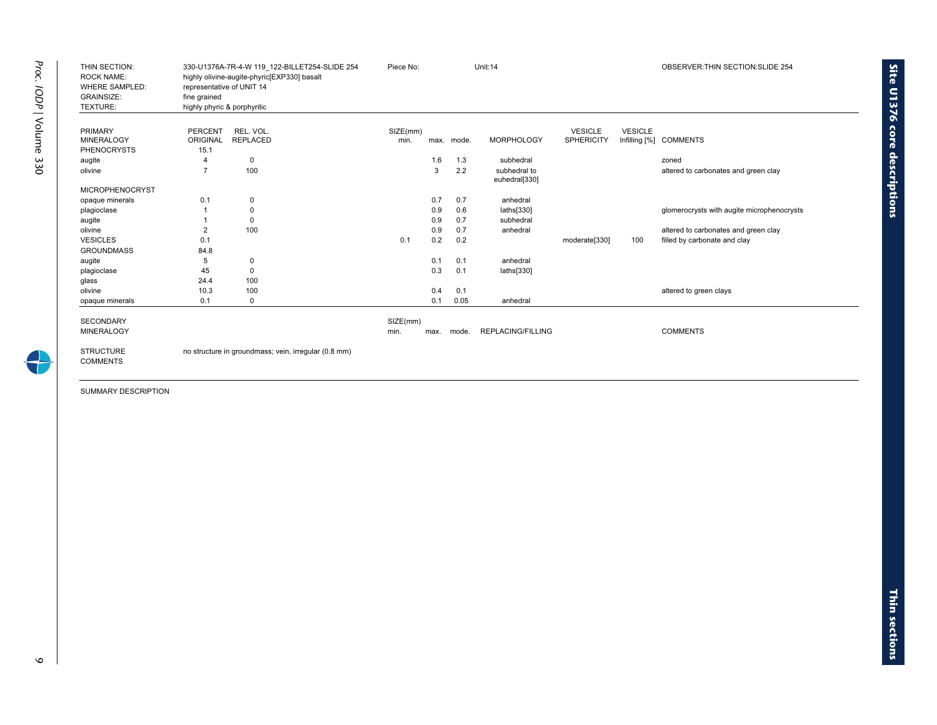| THIN SECTION:<br><b>ROCK NAME:</b><br><b>WHERE SAMPLED:</b><br><b>GRAINSIZE:</b><br>TEXTURE: | representative of UNIT 14<br>fine grained<br>highly phyric & porphyritic | 330-U1376A-7R-4-W 119 122-BILLET254-SLIDE 254<br>highly olivine-augite-phyric[EXP330] basalt | Piece No: |      |            | Unit:14                       |                   |                | OBSERVER: THIN SECTION: SLIDE 254          |
|----------------------------------------------------------------------------------------------|--------------------------------------------------------------------------|----------------------------------------------------------------------------------------------|-----------|------|------------|-------------------------------|-------------------|----------------|--------------------------------------------|
|                                                                                              |                                                                          |                                                                                              |           |      |            |                               |                   |                |                                            |
| <b>PRIMARY</b>                                                                               | <b>PERCENT</b>                                                           | REL. VOL.                                                                                    | SIZE(mm)  |      |            |                               | <b>VESICLE</b>    | <b>VESICLE</b> |                                            |
| <b>MINERALOGY</b>                                                                            | ORIGINAL                                                                 | <b>REPLACED</b>                                                                              | min.      |      | max. mode. | <b>MORPHOLOGY</b>             | <b>SPHERICITY</b> |                | Infilling [%] COMMENTS                     |
| <b>PHENOCRYSTS</b>                                                                           | 15.1                                                                     |                                                                                              |           |      |            |                               |                   |                |                                            |
| augite                                                                                       |                                                                          | $\mathbf 0$                                                                                  |           | 1.6  | 1.3        | subhedral                     |                   |                | zoned                                      |
| olivine                                                                                      | $\overline{7}$                                                           | 100                                                                                          |           | 3    | 2.2        | subhedral to<br>euhedral[330] |                   |                | altered to carbonates and green clay       |
| <b>MICROPHENOCRYST</b>                                                                       |                                                                          |                                                                                              |           |      |            |                               |                   |                |                                            |
| opaque minerals                                                                              | 0.1                                                                      | 0                                                                                            |           | 0.7  | 0.7        | anhedral                      |                   |                |                                            |
| plagioclase                                                                                  |                                                                          | 0                                                                                            |           | 0.9  | 0.6        | laths[330]                    |                   |                | glomerocrysts with augite microphenocrysts |
| augite                                                                                       |                                                                          | 0                                                                                            |           | 0.9  | 0.7        | subhedral                     |                   |                |                                            |
| olivine                                                                                      | $\overline{2}$                                                           | 100                                                                                          |           | 0.9  | 0.7        | anhedral                      |                   |                | altered to carbonates and green clay       |
| <b>VESICLES</b>                                                                              | 0.1                                                                      |                                                                                              | 0.1       | 0.2  | 0.2        |                               | moderate[330]     | 100            | filled by carbonate and clay               |
| <b>GROUNDMASS</b>                                                                            | 84.8                                                                     |                                                                                              |           |      |            |                               |                   |                |                                            |
| augite                                                                                       | 5                                                                        | 0                                                                                            |           | 0.1  | 0.1        | anhedral                      |                   |                |                                            |
| plagioclase                                                                                  | 45                                                                       | 0                                                                                            |           | 0.3  | 0.1        | laths[330]                    |                   |                |                                            |
| glass                                                                                        | 24.4                                                                     | 100                                                                                          |           |      |            |                               |                   |                |                                            |
| olivine                                                                                      | 10.3                                                                     | 100                                                                                          |           | 0.4  | 0.1        |                               |                   |                | altered to green clays                     |
| opaque minerals                                                                              | 0.1                                                                      | 0                                                                                            |           | 0.1  | 0.05       | anhedral                      |                   |                |                                            |
| <b>SECONDARY</b>                                                                             |                                                                          |                                                                                              | SIZE(mm)  |      |            |                               |                   |                |                                            |
| <b>MINERALOGY</b>                                                                            |                                                                          |                                                                                              | min.      | max. | mode.      | <b>REPLACING/FILLING</b>      |                   |                | <b>COMMENTS</b>                            |
|                                                                                              |                                                                          |                                                                                              |           |      |            |                               |                   |                |                                            |
| <b>STRUCTURE</b><br><b>COMMENTS</b>                                                          |                                                                          | no structure in groundmass; vein, irregular (0.8 mm)                                         |           |      |            |                               |                   |                |                                            |

 $\circ$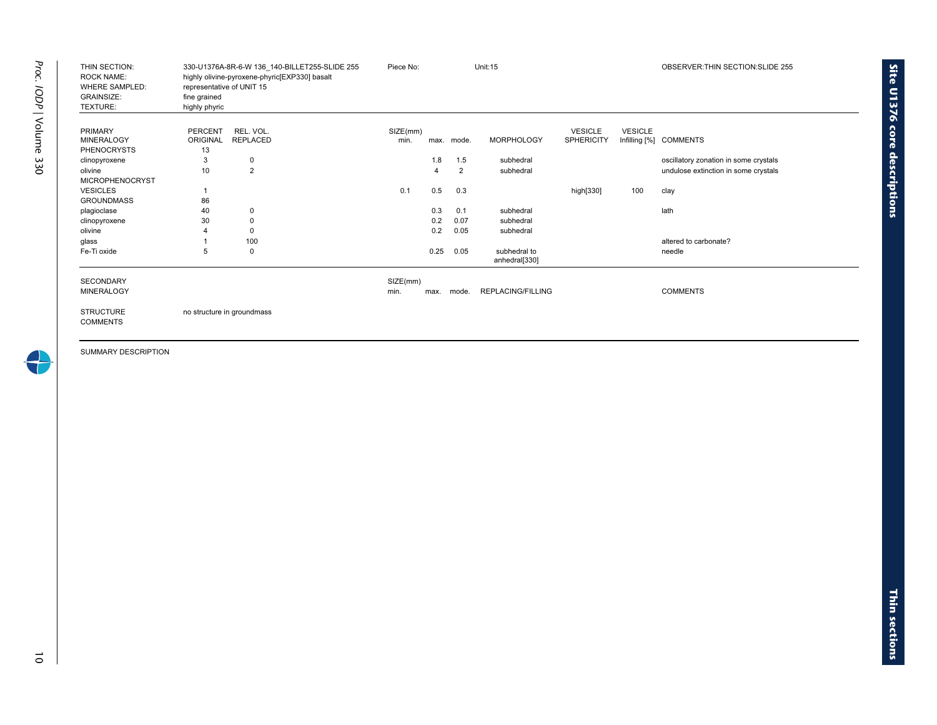| THIN SECTION:<br><b>ROCK NAME:</b><br><b>WHERE SAMPLED:</b><br><b>GRAINSIZE:</b><br>TEXTURE: | representative of UNIT 15<br>fine grained<br>highly phyric | 330-U1376A-8R-6-W 136 140-BILLET255-SLIDE 255<br>highly olivine-pyroxene-phyric[EXP330] basalt | Piece No:        | Unit:15 |            |                               |                                     | OBSERVER: THIN SECTION: SLIDE 255 |                                       |  |
|----------------------------------------------------------------------------------------------|------------------------------------------------------------|------------------------------------------------------------------------------------------------|------------------|---------|------------|-------------------------------|-------------------------------------|-----------------------------------|---------------------------------------|--|
| <b>PRIMARY</b><br><b>MINERALOGY</b><br><b>PHENOCRYSTS</b>                                    | <b>PERCENT</b><br><b>ORIGINAL</b><br>13                    | REL. VOL.<br><b>REPLACED</b>                                                                   | SIZE(mm)<br>min. |         | max. mode. | <b>MORPHOLOGY</b>             | <b>VESICLE</b><br><b>SPHERICITY</b> | <b>VESICLE</b>                    | Infilling [%] COMMENTS                |  |
| clinopyroxene                                                                                | 3                                                          | 0                                                                                              |                  | 1.8     | 1.5        | subhedral                     |                                     |                                   | oscillatory zonation in some crystals |  |
| olivine                                                                                      | 10                                                         | 2                                                                                              |                  |         | 2          | subhedral                     |                                     |                                   | undulose extinction in some crystals  |  |
| <b>MICROPHENOCRYST</b>                                                                       |                                                            |                                                                                                |                  |         |            |                               |                                     |                                   |                                       |  |
| <b>VESICLES</b>                                                                              | 1                                                          |                                                                                                | 0.1              | 0.5     | 0.3        |                               | high[330]                           | 100                               | clay                                  |  |
| <b>GROUNDMASS</b>                                                                            | 86                                                         |                                                                                                |                  |         |            |                               |                                     |                                   |                                       |  |
| plagioclase                                                                                  | 40                                                         | $\mathbf 0$                                                                                    |                  | 0.3     | 0.1        | subhedral                     |                                     |                                   | lath                                  |  |
| clinopyroxene                                                                                | 30                                                         | 0                                                                                              |                  | 0.2     | 0.07       | subhedral                     |                                     |                                   |                                       |  |
| olivine                                                                                      |                                                            | $\Omega$                                                                                       |                  | 0.2     | 0.05       | subhedral                     |                                     |                                   |                                       |  |
| glass                                                                                        |                                                            | 100                                                                                            |                  |         |            |                               |                                     |                                   | altered to carbonate?                 |  |
| Fe-Ti oxide                                                                                  | 5                                                          | 0                                                                                              |                  | 0.25    | 0.05       | subhedral to<br>anhedral[330] |                                     |                                   | needle                                |  |
| <b>SECONDARY</b>                                                                             |                                                            |                                                                                                | SIZE(mm)         |         |            |                               |                                     |                                   |                                       |  |
| <b>MINERALOGY</b>                                                                            |                                                            |                                                                                                | min.             | max.    | mode.      | REPLACING/FILLING             |                                     |                                   | <b>COMMENTS</b>                       |  |
| <b>STRUCTURE</b><br><b>COMMENTS</b>                                                          |                                                            | no structure in groundmass                                                                     |                  |         |            |                               |                                     |                                   |                                       |  |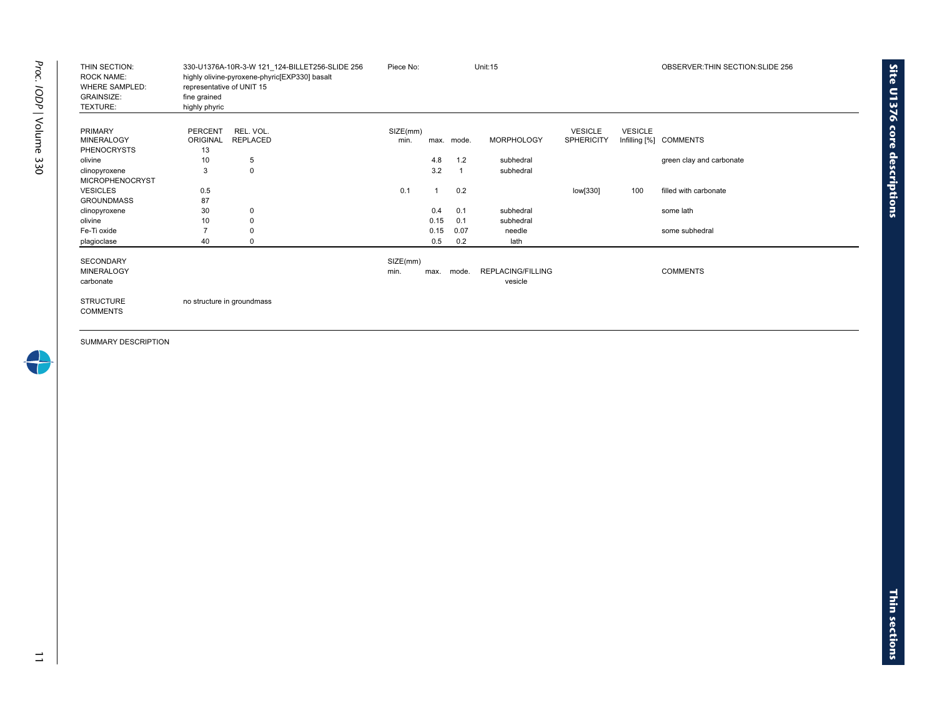| THIN SECTION:<br><b>ROCK NAME:</b><br><b>WHERE SAMPLED:</b><br><b>GRAINSIZE:</b><br>TEXTURE: | representative of UNIT 15<br>fine grained<br>highly phyric | 330-U1376A-10R-3-W 121 124-BILLET256-SLIDE 256<br>highly olivine-pyroxene-phyric[EXP330] basalt | Piece No:        |      |            | <b>Unit:15</b>               |                   |                | OBSERVER: THIN SECTION: SLIDE 256 |
|----------------------------------------------------------------------------------------------|------------------------------------------------------------|-------------------------------------------------------------------------------------------------|------------------|------|------------|------------------------------|-------------------|----------------|-----------------------------------|
| <b>PRIMARY</b>                                                                               | <b>PERCENT</b>                                             | REL. VOL.                                                                                       | SIZE(mm)         |      |            |                              | <b>VESICLE</b>    | <b>VESICLE</b> |                                   |
| <b>MINERALOGY</b><br><b>PHENOCRYSTS</b>                                                      | ORIGINAL<br>13                                             | REPLACED                                                                                        | min.             |      | max. mode. | <b>MORPHOLOGY</b>            | <b>SPHERICITY</b> |                | Infilling [%] COMMENTS            |
| olivine                                                                                      | 10                                                         | 5                                                                                               |                  | 4.8  | 1.2        | subhedral                    |                   |                | green clay and carbonate          |
| clinopyroxene                                                                                | 3                                                          | 0                                                                                               |                  | 3.2  |            | subhedral                    |                   |                |                                   |
| <b>MICROPHENOCRYST</b>                                                                       |                                                            |                                                                                                 |                  |      |            |                              |                   |                |                                   |
| <b>VESICLES</b>                                                                              | 0.5                                                        |                                                                                                 | 0.1              |      | 0.2        |                              | low[330]          | 100            | filled with carbonate             |
| <b>GROUNDMASS</b>                                                                            | 87                                                         |                                                                                                 |                  |      |            |                              |                   |                |                                   |
| clinopyroxene                                                                                | 30                                                         | $\mathbf 0$                                                                                     |                  | 0.4  | 0.1        | subhedral                    |                   |                | some lath                         |
| olivine                                                                                      | 10                                                         | $\Omega$                                                                                        |                  | 0.15 | 0.1        | subhedral                    |                   |                |                                   |
| Fe-Ti oxide                                                                                  | 7                                                          | 0                                                                                               |                  | 0.15 | 0.07       | needle                       |                   |                | some subhedral                    |
| plagioclase                                                                                  | 40                                                         | 0                                                                                               |                  | 0.5  | 0.2        | lath                         |                   |                |                                   |
| <b>SECONDARY</b><br><b>MINERALOGY</b><br>carbonate                                           |                                                            |                                                                                                 | SIZE(mm)<br>min. | max. | mode.      | REPLACING/FILLING<br>vesicle |                   |                | <b>COMMENTS</b>                   |
| <b>STRUCTURE</b><br><b>COMMENTS</b>                                                          |                                                            | no structure in groundmass                                                                      |                  |      |            |                              |                   |                |                                   |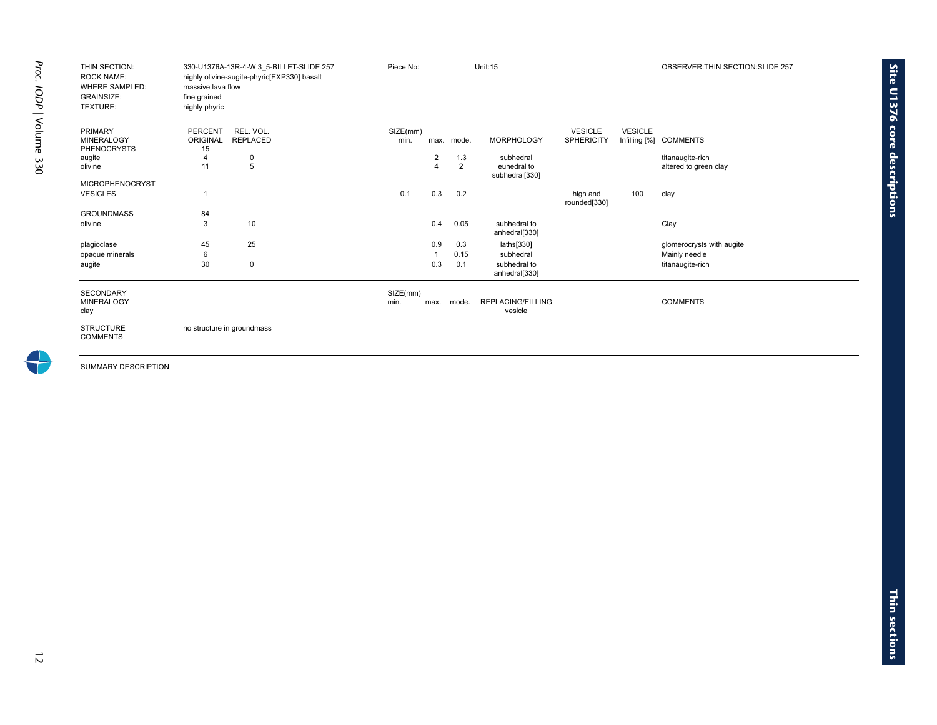| THIN SECTION:<br><b>ROCK NAME:</b><br><b>WHERE SAMPLED:</b><br><b>GRAINSIZE:</b><br>TEXTURE: | massive lava flow<br>fine grained<br>highly phyric | 330-U1376A-13R-4-W 3 5-BILLET-SLIDE 257<br>highly olivine-augite-phyric[EXP330] basalt | Piece No:        |                |                | <b>Unit:15</b>                      |                          |                | OBSERVER: THIN SECTION: SLIDE 257 |
|----------------------------------------------------------------------------------------------|----------------------------------------------------|----------------------------------------------------------------------------------------|------------------|----------------|----------------|-------------------------------------|--------------------------|----------------|-----------------------------------|
| <b>PRIMARY</b>                                                                               | <b>PERCENT</b>                                     | REL. VOL.                                                                              | SIZE(mm)         |                |                |                                     | <b>VESICLE</b>           | <b>VESICLE</b> |                                   |
| <b>MINERALOGY</b>                                                                            | <b>ORIGINAL</b>                                    | <b>REPLACED</b>                                                                        | min.             |                | max. mode.     | <b>MORPHOLOGY</b>                   | <b>SPHERICITY</b>        |                | Infilling [%] COMMENTS            |
| <b>PHENOCRYSTS</b>                                                                           | 15                                                 |                                                                                        |                  |                |                |                                     |                          |                |                                   |
| augite                                                                                       | 4                                                  | 0                                                                                      |                  | $\overline{2}$ | 1.3            | subhedral                           |                          |                | titanaugite-rich                  |
| olivine                                                                                      | 11                                                 | 5                                                                                      |                  | $\overline{4}$ | $\overline{2}$ | euhedral to<br>subhedral[330]       |                          |                | altered to green clay             |
| <b>MICROPHENOCRYST</b>                                                                       |                                                    |                                                                                        |                  |                |                |                                     |                          |                |                                   |
| <b>VESICLES</b>                                                                              | 1                                                  |                                                                                        | 0.1              | 0.3            | 0.2            |                                     | high and<br>rounded[330] | 100            | clay                              |
| <b>GROUNDMASS</b>                                                                            | 84                                                 |                                                                                        |                  |                |                |                                     |                          |                |                                   |
| olivine                                                                                      | 3                                                  | 10                                                                                     |                  | 0.4            | 0.05           | subhedral to<br>anhedral[330]       |                          |                | Clay                              |
| plagioclase                                                                                  | 45                                                 | 25                                                                                     |                  | 0.9            | 0.3            | laths[330]                          |                          |                | glomerocrysts with augite         |
| opaque minerals                                                                              | 6                                                  |                                                                                        |                  |                | 0.15           | subhedral                           |                          |                | Mainly needle                     |
| augite                                                                                       | 30                                                 | 0                                                                                      |                  | 0.3            | 0.1            | subhedral to<br>anhedral[330]       |                          |                | titanaugite-rich                  |
| <b>SECONDARY</b><br><b>MINERALOGY</b><br>clay                                                |                                                    |                                                                                        | SIZE(mm)<br>min. | max.           | mode.          | <b>REPLACING/FILLING</b><br>vesicle |                          |                | <b>COMMENTS</b>                   |
| <b>STRUCTURE</b><br><b>COMMENTS</b>                                                          |                                                    | no structure in groundmass                                                             |                  |                |                |                                     |                          |                |                                   |

÷

**Site U1376 core** 

**descriptions**

 $\vec{z}$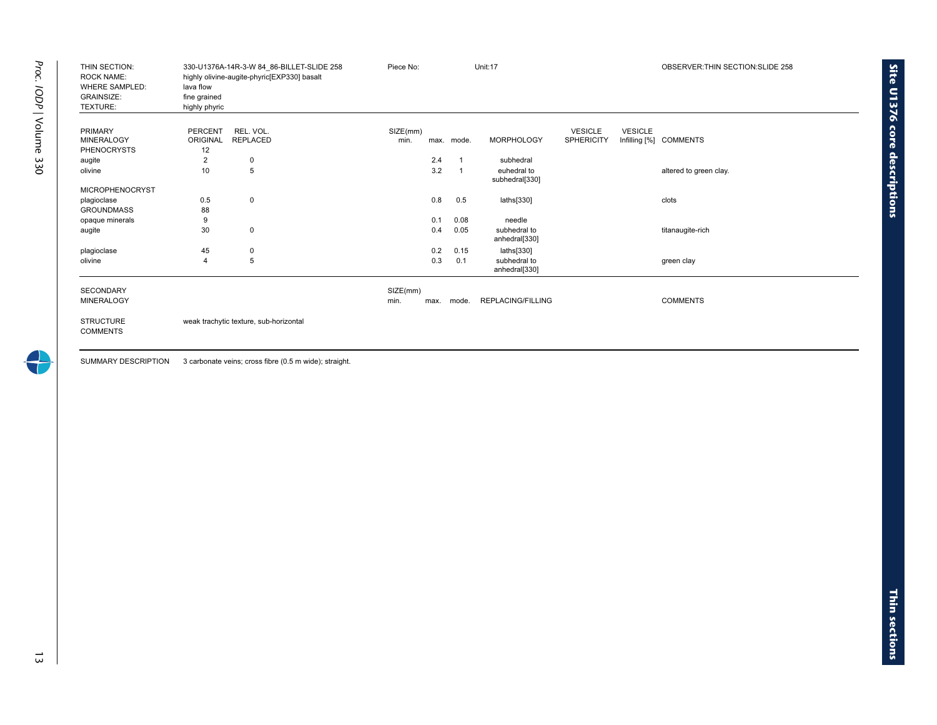| THIN SECTION:<br><b>ROCK NAME:</b><br><b>WHERE SAMPLED:</b><br><b>GRAINSIZE:</b><br>TEXTURE: | lava flow<br>fine grained<br>highly phyric | 330-U1376A-14R-3-W 84 86-BILLET-SLIDE 258<br>highly olivine-augite-phyric[EXP330] basalt | Piece No:        |      |                         | Unit:17                       |                                     |                | OBSERVER: THIN SECTION: SLIDE 258 |
|----------------------------------------------------------------------------------------------|--------------------------------------------|------------------------------------------------------------------------------------------|------------------|------|-------------------------|-------------------------------|-------------------------------------|----------------|-----------------------------------|
| <b>PRIMARY</b><br><b>MINERALOGY</b><br><b>PHENOCRYSTS</b>                                    | <b>PERCENT</b><br>ORIGINAL<br>12           | REL. VOL.<br><b>REPLACED</b>                                                             | SIZE(mm)<br>min. |      | max. mode.              | <b>MORPHOLOGY</b>             | <b>VESICLE</b><br><b>SPHERICITY</b> | <b>VESICLE</b> | Infilling [%] COMMENTS            |
| augite                                                                                       | $\overline{2}$                             | 0                                                                                        |                  | 2.4  | $\overline{\mathbf{1}}$ | subhedral                     |                                     |                |                                   |
| olivine                                                                                      | 10                                         | 5                                                                                        |                  | 3.2  |                         | euhedral to<br>subhedral[330] |                                     |                | altered to green clay.            |
| <b>MICROPHENOCRYST</b>                                                                       |                                            |                                                                                          |                  |      |                         |                               |                                     |                |                                   |
| plagioclase                                                                                  | 0.5                                        | $\mathbf 0$                                                                              |                  | 0.8  | 0.5                     | laths[330]                    |                                     |                | clots                             |
| <b>GROUNDMASS</b>                                                                            | 88                                         |                                                                                          |                  |      |                         |                               |                                     |                |                                   |
| opaque minerals                                                                              | 9                                          |                                                                                          |                  | 0.1  | 0.08                    | needle                        |                                     |                |                                   |
| augite                                                                                       | 30                                         | $\mathbf 0$                                                                              |                  | 0.4  | 0.05                    | subhedral to<br>anhedral[330] |                                     |                | titanaugite-rich                  |
| plagioclase                                                                                  | 45                                         | 0                                                                                        |                  | 0.2  | 0.15                    | laths[330]                    |                                     |                |                                   |
| olivine                                                                                      | $\overline{4}$                             | 5                                                                                        |                  | 0.3  | 0.1                     | subhedral to<br>anhedral[330] |                                     |                | green clay                        |
| <b>SECONDARY</b>                                                                             |                                            |                                                                                          | SIZE(mm)         |      |                         |                               |                                     |                |                                   |
| <b>MINERALOGY</b>                                                                            |                                            |                                                                                          | min.             | max. | mode.                   | <b>REPLACING/FILLING</b>      |                                     |                | <b>COMMENTS</b>                   |
| <b>STRUCTURE</b><br><b>COMMENTS</b>                                                          |                                            | weak trachytic texture, sub-horizontal                                                   |                  |      |                         |                               |                                     |                |                                   |

SUMMARY DESCRIPTION 3 carbonate veins; cross fibre (0.5 m wide); straight.

**Site U1376 core**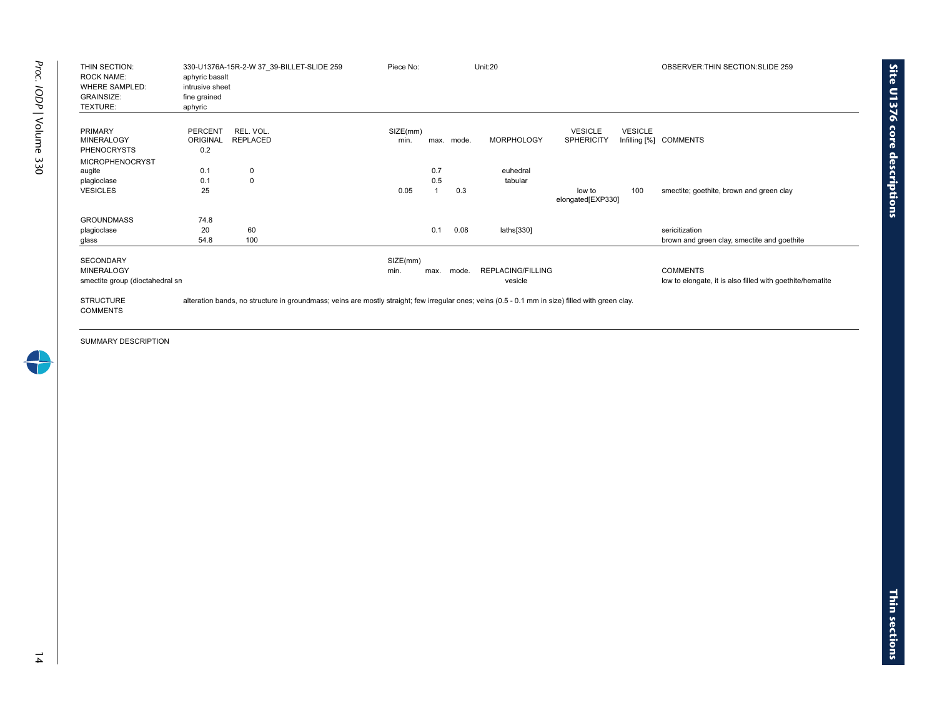| THIN SECTION:<br><b>ROCK NAME:</b><br><b>WHERE SAMPLED:</b><br><b>GRAINSIZE:</b><br>TEXTURE: | aphyric basalt<br>intrusive sheet<br>fine grained<br>aphyric | 330-U1376A-15R-2-W 37 39-BILLET-SLIDE 259                                                                                                         | Piece No:        |      |       | Unit:20           |                                     |                | OBSERVER: THIN SECTION: SLIDE 259                         |
|----------------------------------------------------------------------------------------------|--------------------------------------------------------------|---------------------------------------------------------------------------------------------------------------------------------------------------|------------------|------|-------|-------------------|-------------------------------------|----------------|-----------------------------------------------------------|
| <b>PRIMARY</b><br><b>MINERALOGY</b>                                                          | <b>PERCENT</b><br><b>ORIGINAL</b>                            | REL. VOL.<br>REPLACED                                                                                                                             | SIZE(mm)<br>min. | max. | mode. | <b>MORPHOLOGY</b> | <b>VESICLE</b><br><b>SPHERICITY</b> | <b>VESICLE</b> | Infilling [%] COMMENTS                                    |
| <b>PHENOCRYSTS</b>                                                                           | 0.2                                                          |                                                                                                                                                   |                  |      |       |                   |                                     |                |                                                           |
| <b>MICROPHENOCRYST</b>                                                                       |                                                              |                                                                                                                                                   |                  |      |       |                   |                                     |                |                                                           |
| augite                                                                                       | 0.1                                                          | 0                                                                                                                                                 |                  | 0.7  |       | euhedral          |                                     |                |                                                           |
| plagioclase                                                                                  | 0.1                                                          | $\mathbf 0$                                                                                                                                       |                  | 0.5  |       | tabular           |                                     |                |                                                           |
| <b>VESICLES</b>                                                                              | 25                                                           |                                                                                                                                                   | 0.05             |      | 0.3   |                   | low to<br>elongated[EXP330]         | 100            | smectite; goethite, brown and green clay                  |
| <b>GROUNDMASS</b>                                                                            | 74.8                                                         |                                                                                                                                                   |                  |      |       |                   |                                     |                |                                                           |
| plagioclase                                                                                  | 20                                                           | 60                                                                                                                                                |                  | 0.1  | 0.08  | laths[330]        |                                     |                | sericitization                                            |
| glass                                                                                        | 54.8                                                         | 100                                                                                                                                               |                  |      |       |                   |                                     |                | brown and green clay, smectite and goethite               |
| <b>SECONDARY</b>                                                                             |                                                              |                                                                                                                                                   | SIZE(mm)         |      |       |                   |                                     |                |                                                           |
| <b>MINERALOGY</b>                                                                            |                                                              |                                                                                                                                                   | min.             | max. | mode. | REPLACING/FILLING |                                     |                | <b>COMMENTS</b>                                           |
| smectite group (dioctahedral sn                                                              |                                                              |                                                                                                                                                   |                  |      |       | vesicle           |                                     |                | low to elongate, it is also filled with goethite/hematite |
| <b>STRUCTURE</b><br><b>COMMENTS</b>                                                          |                                                              | alteration bands, no structure in groundmass; veins are mostly straight; few irregular ones; veins (0.5 - 0.1 mm in size) filled with green clay. |                  |      |       |                   |                                     |                |                                                           |

**sections**

**Site U1376 core**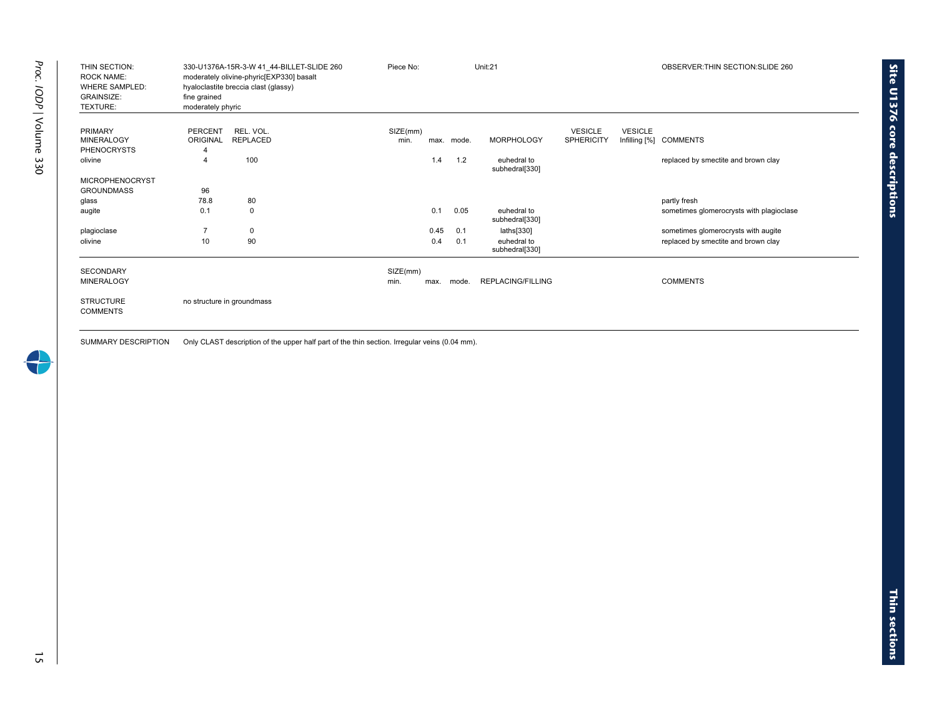| THIN SECTION:<br><b>ROCK NAME:</b><br><b>WHERE SAMPLED:</b><br><b>GRAINSIZE:</b><br>TEXTURE: | fine grained<br>moderately phyric | 330-U1376A-15R-3-W 41 44-BILLET-SLIDE 260<br>moderately olivine-phyric[EXP330] basalt<br>hyaloclastite breccia clast (glassy) | Piece No: |      |       | Unit:21                       |                   |                | OBSERVER: THIN SECTION: SLIDE 260        |
|----------------------------------------------------------------------------------------------|-----------------------------------|-------------------------------------------------------------------------------------------------------------------------------|-----------|------|-------|-------------------------------|-------------------|----------------|------------------------------------------|
| <b>PRIMARY</b>                                                                               | PERCENT                           | REL. VOL.                                                                                                                     | SIZE(mm)  |      |       |                               | <b>VESICLE</b>    | <b>VESICLE</b> |                                          |
| <b>MINERALOGY</b>                                                                            | ORIGINAL                          | <b>REPLACED</b>                                                                                                               | min.      | max. | mode. | <b>MORPHOLOGY</b>             | <b>SPHERICITY</b> |                | Infilling [%] COMMENTS                   |
| <b>PHENOCRYSTS</b>                                                                           |                                   |                                                                                                                               |           |      |       |                               |                   |                |                                          |
| olivine                                                                                      | 4                                 | 100                                                                                                                           |           | 1.4  | 1.2   | euhedral to<br>subhedral[330] |                   |                | replaced by smectite and brown clay      |
| <b>MICROPHENOCRYST</b>                                                                       |                                   |                                                                                                                               |           |      |       |                               |                   |                |                                          |
| <b>GROUNDMASS</b>                                                                            | 96                                |                                                                                                                               |           |      |       |                               |                   |                |                                          |
| glass                                                                                        | 78.8                              | 80                                                                                                                            |           |      |       |                               |                   |                | partly fresh                             |
| augite                                                                                       | 0.1                               | $\mathbf 0$                                                                                                                   |           | 0.1  | 0.05  | euhedral to<br>subhedral[330] |                   |                | sometimes glomerocrysts with plagioclase |
| plagioclase                                                                                  | $\overline{7}$                    | $\mathbf 0$                                                                                                                   |           | 0.45 | 0.1   | laths[330]                    |                   |                | sometimes glomerocrysts with augite      |
| olivine                                                                                      | 10                                | 90                                                                                                                            |           | 0.4  | 0.1   | euhedral to<br>subhedral[330] |                   |                | replaced by smectite and brown clay      |
| <b>SECONDARY</b>                                                                             |                                   |                                                                                                                               | SIZE(mm)  |      |       |                               |                   |                |                                          |
| <b>MINERALOGY</b>                                                                            |                                   |                                                                                                                               | min.      | max. | mode. | <b>REPLACING/FILLING</b>      |                   |                | <b>COMMENTS</b>                          |
| <b>STRUCTURE</b><br><b>COMMENTS</b>                                                          |                                   | no structure in groundmass                                                                                                    |           |      |       |                               |                   |                |                                          |

SUMMARY DESCRIPTION Only CLAST description of the upper half part of the thin section. Irregular veins (0.04 mm).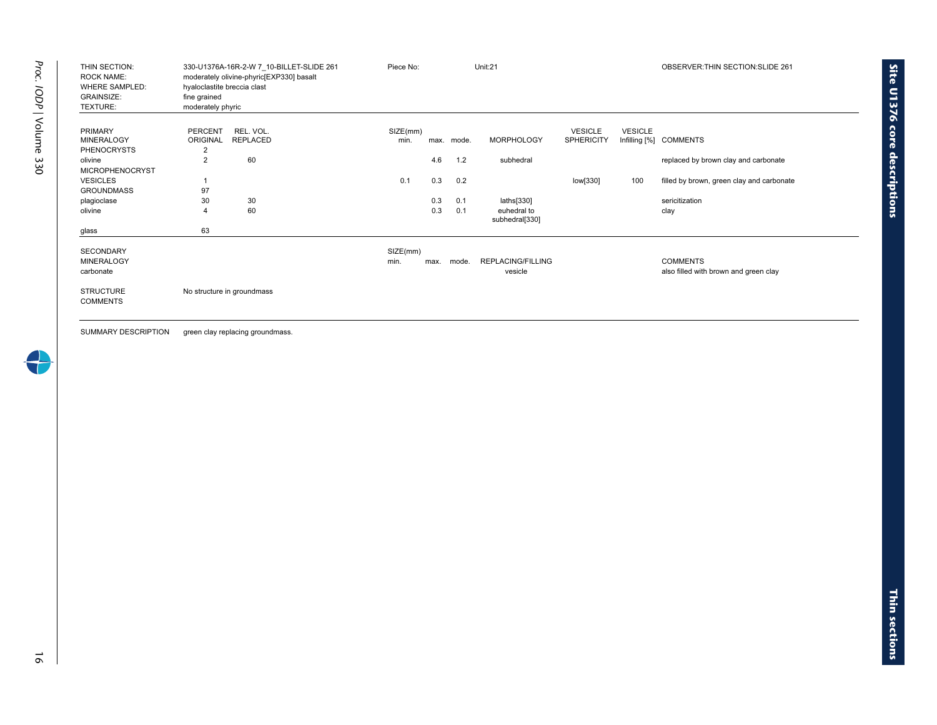| THIN SECTION:<br><b>ROCK NAME:</b><br><b>WHERE SAMPLED:</b><br><b>GRAINSIZE:</b><br>TEXTURE: | 330-U1376A-16R-2-W 7 10-BILLET-SLIDE 261<br>moderately olivine-phyric[EXP330] basalt<br>hyaloclastite breccia clast<br>fine grained<br>moderately phyric | Piece No:        |      |            | Unit:21                       |                                     |                | OBSERVER: THIN SECTION: SLIDE 261                        |
|----------------------------------------------------------------------------------------------|----------------------------------------------------------------------------------------------------------------------------------------------------------|------------------|------|------------|-------------------------------|-------------------------------------|----------------|----------------------------------------------------------|
| <b>PRIMARY</b><br><b>MINERALOGY</b><br><b>PHENOCRYSTS</b>                                    | REL. VOL.<br><b>PERCENT</b><br><b>REPLACED</b><br><b>ORIGINAL</b><br>2                                                                                   | SIZE(mm)<br>min. |      | max. mode. | <b>MORPHOLOGY</b>             | <b>VESICLE</b><br><b>SPHERICITY</b> | <b>VESICLE</b> | Infilling [%] COMMENTS                                   |
| olivine<br><b>MICROPHENOCRYST</b>                                                            | 60<br>$\overline{2}$                                                                                                                                     |                  | 4.6  | 1.2        | subhedral                     |                                     |                | replaced by brown clay and carbonate                     |
| <b>VESICLES</b><br><b>GROUNDMASS</b>                                                         | 97                                                                                                                                                       | 0.1              | 0.3  | 0.2        |                               | low[330]                            | 100            | filled by brown, green clay and carbonate                |
| plagioclase                                                                                  | 30<br>30                                                                                                                                                 |                  | 0.3  | 0.1        | laths[330]                    |                                     |                | sericitization                                           |
| olivine                                                                                      | 60<br>$\overline{4}$                                                                                                                                     |                  | 0.3  | 0.1        | euhedral to<br>subhedral[330] |                                     |                | clay                                                     |
| glass                                                                                        | 63                                                                                                                                                       |                  |      |            |                               |                                     |                |                                                          |
| <b>SECONDARY</b><br><b>MINERALOGY</b><br>carbonate                                           |                                                                                                                                                          | SIZE(mm)<br>min. | max. | mode.      | REPLACING/FILLING<br>vesicle  |                                     |                | <b>COMMENTS</b><br>also filled with brown and green clay |
| <b>STRUCTURE</b><br><b>COMMENTS</b>                                                          | No structure in groundmass                                                                                                                               |                  |      |            |                               |                                     |                |                                                          |

SUMMARY DESCRIPTION green clay replacing groundmass.

16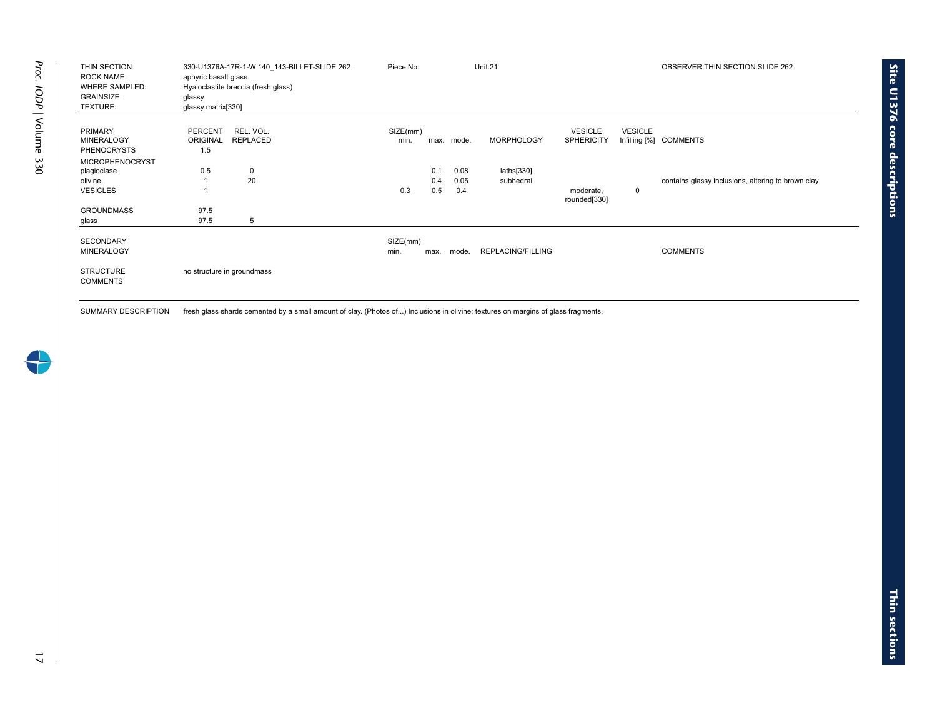| THIN SECTION:<br><b>ROCK NAME:</b><br><b>WHERE SAMPLED:</b><br><b>GRAINSIZE:</b><br>TEXTURE: | aphyric basalt glass<br>glassy<br>glassy matrix <sup>[330]</sup> | 330-U1376A-17R-1-W 140 143-BILLET-SLIDE 262<br>Hyaloclastite breccia (fresh glass) | Piece No:       |      |       | Unit:21                  |                                     |                | OBSERVER: THIN SECTION: SLIDE 262                  |
|----------------------------------------------------------------------------------------------|------------------------------------------------------------------|------------------------------------------------------------------------------------|-----------------|------|-------|--------------------------|-------------------------------------|----------------|----------------------------------------------------|
| <b>PRIMARY</b><br><b>MINERALOGY</b><br><b>PHENOCRYSTS</b>                                    | PERCENT<br><b>ORIGINAL</b><br>1.5                                | REL. VOL.<br><b>REPLACED</b>                                                       | SIZE(mm)<br>min | max. | mode. | <b>MORPHOLOGY</b>        | <b>VESICLE</b><br><b>SPHERICITY</b> | <b>VESICLE</b> | Infilling [%] COMMENTS                             |
| <b>MICROPHENOCRYST</b>                                                                       |                                                                  |                                                                                    |                 |      |       |                          |                                     |                |                                                    |
| plagioclase                                                                                  | 0.5                                                              | $\mathbf 0$                                                                        |                 | 0.1  | 0.08  | laths[330]               |                                     |                |                                                    |
| olivine                                                                                      |                                                                  | 20                                                                                 |                 | 0.4  | 0.05  | subhedral                |                                     |                | contains glassy inclusions, altering to brown clay |
| <b>VESICLES</b>                                                                              |                                                                  |                                                                                    | 0.3             | 0.5  | 0.4   |                          | moderate,<br>rounded[330]           | 0              |                                                    |
| <b>GROUNDMASS</b>                                                                            | 97.5                                                             |                                                                                    |                 |      |       |                          |                                     |                |                                                    |
| glass                                                                                        | 97.5                                                             | 5                                                                                  |                 |      |       |                          |                                     |                |                                                    |
| <b>SECONDARY</b>                                                                             |                                                                  |                                                                                    | SIZE(mm)        |      |       |                          |                                     |                |                                                    |
| <b>MINERALOGY</b>                                                                            |                                                                  |                                                                                    | min.            | max. | mode. | <b>REPLACING/FILLING</b> |                                     |                | <b>COMMENTS</b>                                    |
| <b>STRUCTURE</b><br><b>COMMENTS</b>                                                          |                                                                  | no structure in groundmass                                                         |                 |      |       |                          |                                     |                |                                                    |

SUMMARY DESCRIPTION fresh glass shards cemented by a small amount of clay. (Photos of...) Inclusions in olivine; textures on margins of glass fragments.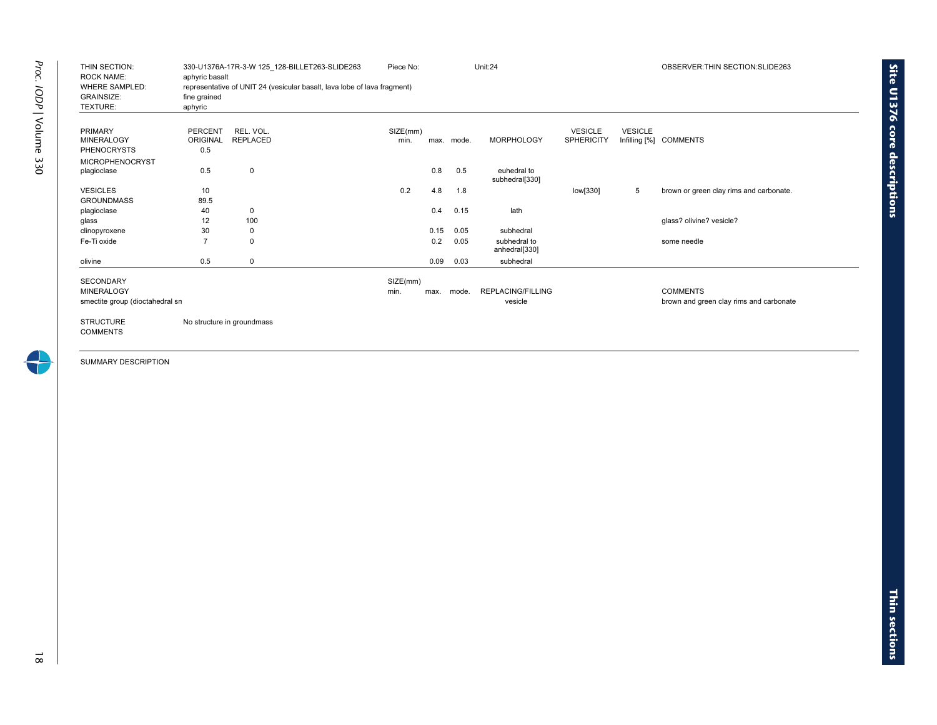| THIN SECTION:<br><b>ROCK NAME:</b> | aphyric basalt  | 330-U1376A-17R-3-W 125 128-BILLET263-SLIDE263                            | Piece No: |      |            | Unit:24                  |                   |                | OBSERVER: THIN SECTION: SLIDE263        |
|------------------------------------|-----------------|--------------------------------------------------------------------------|-----------|------|------------|--------------------------|-------------------|----------------|-----------------------------------------|
| <b>WHERE SAMPLED:</b>              |                 | representative of UNIT 24 (vesicular basalt, lava lobe of lava fragment) |           |      |            |                          |                   |                |                                         |
| <b>GRAINSIZE:</b>                  | fine grained    |                                                                          |           |      |            |                          |                   |                |                                         |
| TEXTURE:                           | aphyric         |                                                                          |           |      |            |                          |                   |                |                                         |
|                                    |                 |                                                                          |           |      |            |                          |                   |                |                                         |
| <b>PRIMARY</b>                     | <b>PERCENT</b>  | REL. VOL.                                                                | SIZE(mm)  |      |            |                          | <b>VESICLE</b>    | <b>VESICLE</b> |                                         |
| <b>MINERALOGY</b>                  | <b>ORIGINAL</b> | <b>REPLACED</b>                                                          | min.      |      | max. mode. | <b>MORPHOLOGY</b>        | <b>SPHERICITY</b> |                | Infilling [%] COMMENTS                  |
| <b>PHENOCRYSTS</b>                 | 0.5             |                                                                          |           |      |            |                          |                   |                |                                         |
| <b>MICROPHENOCRYST</b>             |                 |                                                                          |           |      |            |                          |                   |                |                                         |
| plagioclase                        | 0.5             | 0                                                                        |           | 0.8  | 0.5        | euhedral to              |                   |                |                                         |
|                                    |                 |                                                                          |           |      |            | subhedral[330]           |                   |                |                                         |
| <b>VESICLES</b>                    | 10              |                                                                          | 0.2       | 4.8  | 1.8        |                          | low[330]          | 5              | brown or green clay rims and carbonate. |
| <b>GROUNDMASS</b>                  | 89.5            |                                                                          |           |      |            |                          |                   |                |                                         |
| plagioclase                        | 40              | 0                                                                        |           | 0.4  | 0.15       | lath                     |                   |                |                                         |
| glass                              | 12              | 100                                                                      |           |      |            |                          |                   |                | glass? olivine? vesicle?                |
| clinopyroxene                      | 30              | 0                                                                        |           | 0.15 | 0.05       | subhedral                |                   |                |                                         |
| Fe-Ti oxide                        |                 | 0                                                                        |           | 0.2  | 0.05       | subhedral to             |                   |                | some needle                             |
|                                    |                 |                                                                          |           |      |            | anhedral[330]            |                   |                |                                         |
| olivine                            | 0.5             | 0                                                                        |           | 0.09 | 0.03       | subhedral                |                   |                |                                         |
| <b>SECONDARY</b>                   |                 |                                                                          | SIZE(mm)  |      |            |                          |                   |                |                                         |
| <b>MINERALOGY</b>                  |                 |                                                                          | min.      | max. | mode.      | <b>REPLACING/FILLING</b> |                   |                | <b>COMMENTS</b>                         |
| smectite group (dioctahedral sn    |                 |                                                                          |           |      |            | vesicle                  |                   |                | brown and green clay rims and carbonate |
|                                    |                 |                                                                          |           |      |            |                          |                   |                |                                         |
| <b>STRUCTURE</b>                   |                 | No structure in groundmass                                               |           |      |            |                          |                   |                |                                         |
| <b>COMMENTS</b>                    |                 |                                                                          |           |      |            |                          |                   |                |                                         |
|                                    |                 |                                                                          |           |      |            |                          |                   |                |                                         |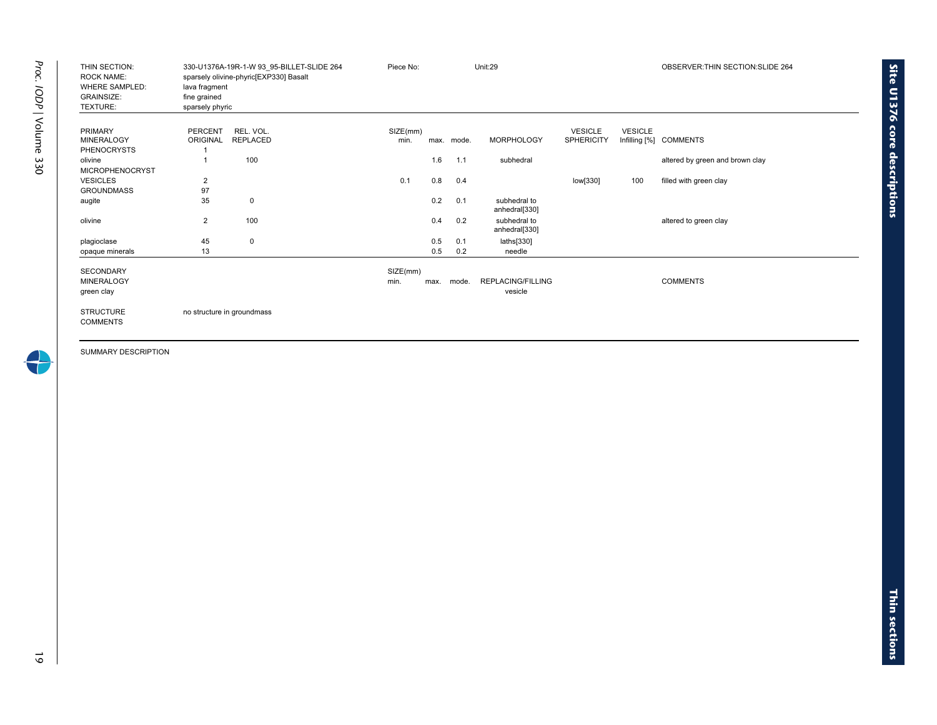| THIN SECTION:<br><b>ROCK NAME:</b><br><b>WHERE SAMPLED:</b><br><b>GRAINSIZE:</b><br>TEXTURE: | lava fragment<br>fine grained<br>sparsely phyric | 330-U1376A-19R-1-W 93 95-BILLET-SLIDE 264<br>sparsely olivine-phyric[EXP330] Basalt | Piece No: |      |       | Unit:29                       |                   |                | OBSERVER: THIN SECTION: SLIDE 264 |
|----------------------------------------------------------------------------------------------|--------------------------------------------------|-------------------------------------------------------------------------------------|-----------|------|-------|-------------------------------|-------------------|----------------|-----------------------------------|
| <b>PRIMARY</b>                                                                               | <b>PERCENT</b>                                   | REL. VOL.                                                                           | SIZE(mm)  |      |       |                               | <b>VESICLE</b>    | <b>VESICLE</b> |                                   |
| <b>MINERALOGY</b>                                                                            | ORIGINAL                                         | <b>REPLACED</b>                                                                     | min.      | max. | mode. | <b>MORPHOLOGY</b>             | <b>SPHERICITY</b> |                | Infilling [%] COMMENTS            |
| <b>PHENOCRYSTS</b><br>olivine                                                                |                                                  | 100                                                                                 |           | 1.6  | 1.1   | subhedral                     |                   |                | altered by green and brown clay   |
| <b>MICROPHENOCRYST</b>                                                                       |                                                  |                                                                                     |           |      |       |                               |                   |                |                                   |
| <b>VESICLES</b>                                                                              | 2                                                |                                                                                     | 0.1       | 0.8  | 0.4   |                               | low[330]          | 100            | filled with green clay            |
| <b>GROUNDMASS</b>                                                                            | 97                                               |                                                                                     |           |      |       |                               |                   |                |                                   |
| augite                                                                                       | 35                                               | 0                                                                                   |           | 0.2  | 0.1   | subhedral to<br>anhedral[330] |                   |                |                                   |
| olivine                                                                                      | $\overline{2}$                                   | 100                                                                                 |           | 0.4  | 0.2   | subhedral to<br>anhedral[330] |                   |                | altered to green clay             |
| plagioclase                                                                                  | 45                                               | $\mathbf 0$                                                                         |           | 0.5  | 0.1   | laths[330]                    |                   |                |                                   |
| opaque minerals                                                                              | 13                                               |                                                                                     |           | 0.5  | 0.2   | needle                        |                   |                |                                   |
| <b>SECONDARY</b>                                                                             |                                                  |                                                                                     | SIZE(mm)  |      |       |                               |                   |                |                                   |
| <b>MINERALOGY</b>                                                                            |                                                  |                                                                                     | min.      | max. | mode. | <b>REPLACING/FILLING</b>      |                   |                | <b>COMMENTS</b>                   |
| green clay                                                                                   |                                                  |                                                                                     |           |      |       | vesicle                       |                   |                |                                   |
| <b>STRUCTURE</b><br><b>COMMENTS</b>                                                          |                                                  | no structure in groundmass                                                          |           |      |       |                               |                   |                |                                   |

4

**Site U1376 core**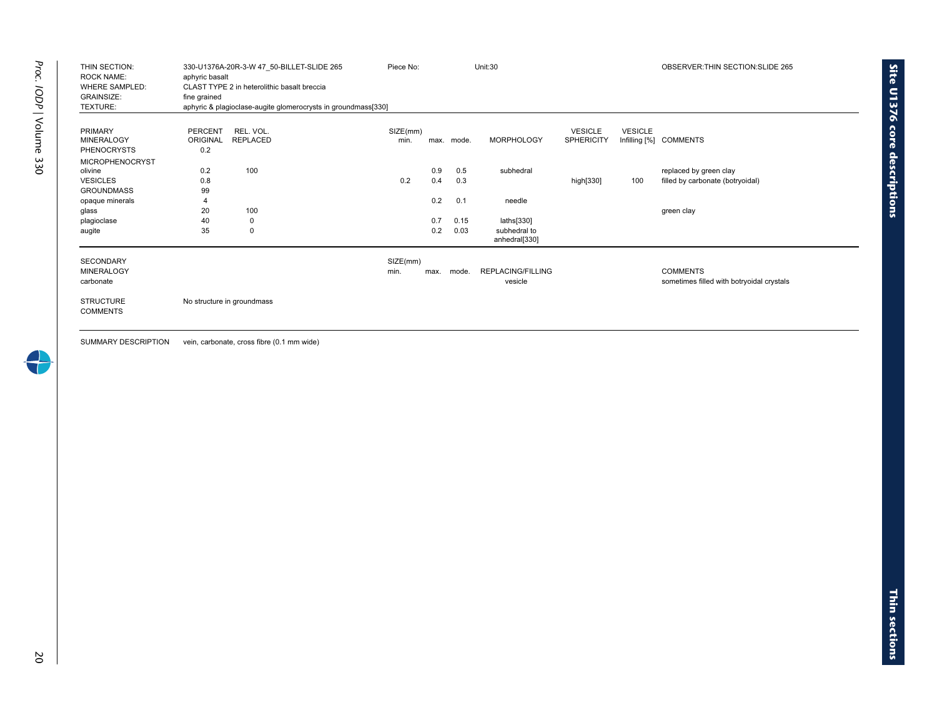|                                                                 | 330-U1376A-20R-3-W 47 50-BILLET-SLIDE 265 | Piece No:                                                     |          |      | Unit:30    |                               |                   | OBSERVER: THIN SECTION: SLIDE 265 |                                           |
|-----------------------------------------------------------------|-------------------------------------------|---------------------------------------------------------------|----------|------|------------|-------------------------------|-------------------|-----------------------------------|-------------------------------------------|
| <b>ROCK NAME:</b><br><b>WHERE SAMPLED:</b><br><b>GRAINSIZE:</b> | aphyric basalt<br>fine grained            | CLAST TYPE 2 in heterolithic basalt breccia                   |          |      |            |                               |                   |                                   |                                           |
| TEXTURE:                                                        |                                           | aphyric & plagioclase-augite glomerocrysts in groundmass[330] |          |      |            |                               |                   |                                   |                                           |
|                                                                 |                                           |                                                               |          |      |            |                               |                   |                                   |                                           |
| <b>PRIMARY</b>                                                  | PERCENT                                   | REL. VOL.                                                     | SIZE(mm) |      |            |                               | <b>VESICLE</b>    | <b>VESICLE</b>                    |                                           |
| <b>MINERALOGY</b>                                               | <b>ORIGINAL</b>                           | <b>REPLACED</b>                                               | min.     |      | max. mode. | <b>MORPHOLOGY</b>             | <b>SPHERICITY</b> |                                   | Infilling [%] COMMENTS                    |
| <b>PHENOCRYSTS</b>                                              | 0.2                                       |                                                               |          |      |            |                               |                   |                                   |                                           |
| <b>MICROPHENOCRYST</b>                                          |                                           |                                                               |          |      |            |                               |                   |                                   |                                           |
| olivine                                                         | 0.2                                       | 100                                                           |          | 0.9  | 0.5        | subhedral                     |                   |                                   | replaced by green clay                    |
| <b>VESICLES</b>                                                 | 0.8                                       |                                                               | 0.2      | 0.4  | 0.3        |                               | high[330]         | 100                               | filled by carbonate (botryoidal)          |
| <b>GROUNDMASS</b>                                               | 99                                        |                                                               |          |      |            |                               |                   |                                   |                                           |
| opaque minerals                                                 | $\overline{4}$                            |                                                               |          | 0.2  | 0.1        | needle                        |                   |                                   |                                           |
| glass                                                           | 20                                        | 100                                                           |          |      |            |                               |                   |                                   | green clay                                |
| plagioclase                                                     | 40                                        | 0                                                             |          | 0.7  | 0.15       | laths[330]                    |                   |                                   |                                           |
| augite                                                          | 35                                        | $\mathbf 0$                                                   |          | 0.2  | 0.03       | subhedral to<br>anhedral[330] |                   |                                   |                                           |
| <b>SECONDARY</b>                                                |                                           |                                                               | SIZE(mm) |      |            |                               |                   |                                   |                                           |
| <b>MINERALOGY</b>                                               |                                           |                                                               | min.     | max. | mode.      | <b>REPLACING/FILLING</b>      |                   |                                   | <b>COMMENTS</b>                           |
| carbonate                                                       |                                           |                                                               |          |      |            | vesicle                       |                   |                                   | sometimes filled with botryoidal crystals |
| <b>STRUCTURE</b>                                                |                                           | No structure in groundmass                                    |          |      |            |                               |                   |                                   |                                           |
| <b>COMMENTS</b>                                                 |                                           |                                                               |          |      |            |                               |                   |                                   |                                           |

SUMMARY DESCRIPTION vein, carbonate, cross fibre (0.1 mm wide)

**Site U1376 core**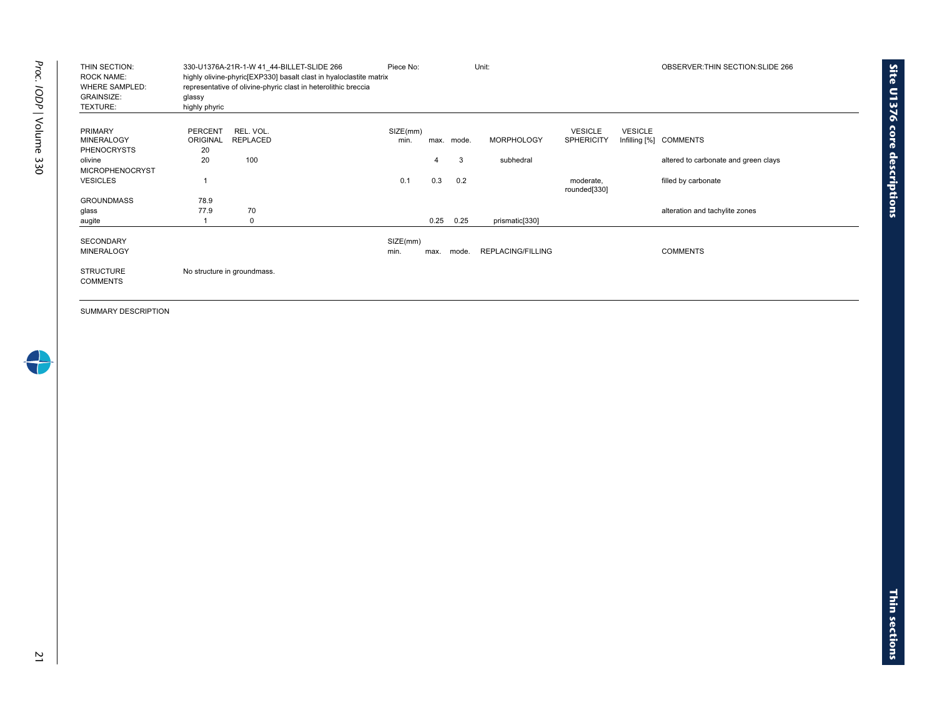| THIN SECTION:<br><b>ROCK NAME:</b><br><b>WHERE SAMPLED:</b><br><b>GRAINSIZE:</b><br>TEXTURE: | glassy<br>highly phyric | 330-U1376A-21R-1-W 41 44-BILLET-SLIDE 266<br>highly olivine-phyric [EXP330] basalt clast in hyaloclastite matrix<br>representative of olivine-phyric clast in heterolithic breccia | Piece No: |      |       | Unit:             |                           |                 | OBSERVER: THIN SECTION: SLIDE 266    |
|----------------------------------------------------------------------------------------------|-------------------------|------------------------------------------------------------------------------------------------------------------------------------------------------------------------------------|-----------|------|-------|-------------------|---------------------------|-----------------|--------------------------------------|
| <b>PRIMARY</b>                                                                               | <b>PERCENT</b>          | REL. VOL.                                                                                                                                                                          | SIZE(mm)  |      |       |                   | <b>VESICLE</b>            | <b>VESICLE</b>  |                                      |
| <b>MINERALOGY</b>                                                                            | <b>ORIGINAL</b>         | <b>REPLACED</b>                                                                                                                                                                    | min.      | max. | mode. | <b>MORPHOLOGY</b> | <b>SPHERICITY</b>         | Infilling $[%]$ | <b>COMMENTS</b>                      |
| <b>PHENOCRYSTS</b>                                                                           | 20                      |                                                                                                                                                                                    |           |      |       |                   |                           |                 |                                      |
| olivine                                                                                      | 20                      | 100                                                                                                                                                                                |           | 4    | 3     | subhedral         |                           |                 | altered to carbonate and green clays |
| <b>MICROPHENOCRYST</b>                                                                       |                         |                                                                                                                                                                                    |           |      |       |                   |                           |                 |                                      |
| <b>VESICLES</b>                                                                              |                         |                                                                                                                                                                                    | 0.1       | 0.3  | 0.2   |                   | moderate,<br>rounded[330] |                 | filled by carbonate                  |
| <b>GROUNDMASS</b>                                                                            | 78.9                    |                                                                                                                                                                                    |           |      |       |                   |                           |                 |                                      |
| glass                                                                                        | 77.9                    | 70                                                                                                                                                                                 |           |      |       |                   |                           |                 | alteration and tachylite zones       |
| augite                                                                                       |                         | 0                                                                                                                                                                                  |           | 0.25 | 0.25  | prismatic[330]    |                           |                 |                                      |
| <b>SECONDARY</b>                                                                             |                         |                                                                                                                                                                                    | SIZE(mm)  |      |       |                   |                           |                 |                                      |
| <b>MINERALOGY</b>                                                                            |                         |                                                                                                                                                                                    | min.      | max. | mode. | REPLACING/FILLING |                           |                 | <b>COMMENTS</b>                      |
| <b>STRUCTURE</b><br><b>COMMENTS</b>                                                          |                         | No structure in groundmass.                                                                                                                                                        |           |      |       |                   |                           |                 |                                      |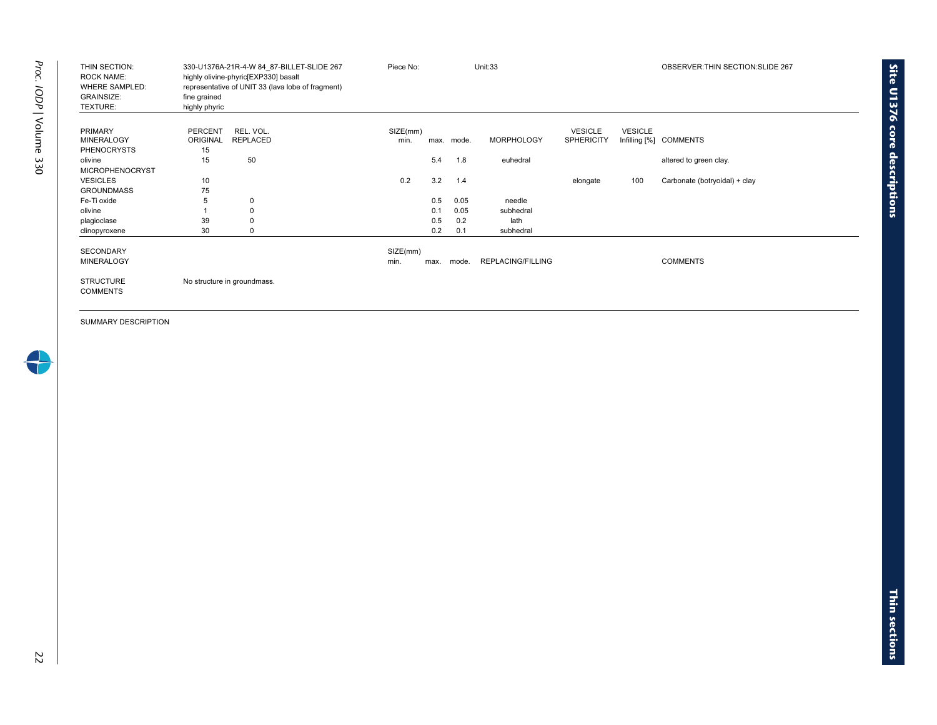| THIN SECTION:<br><b>ROCK NAME:</b><br><b>WHERE SAMPLED:</b><br><b>GRAINSIZE:</b><br>TEXTURE: | 330-U1376A-21R-4-W 84 87-BILLET-SLIDE 267<br>highly olivine-phyric[EXP330] basalt<br>representative of UNIT 33 (lava lobe of fragment)<br>fine grained<br>highly phyric | Piece No:        |      |            | Unit:33           |                                     |                                 | OBSERVER: THIN SECTION: SLIDE 267 |
|----------------------------------------------------------------------------------------------|-------------------------------------------------------------------------------------------------------------------------------------------------------------------------|------------------|------|------------|-------------------|-------------------------------------|---------------------------------|-----------------------------------|
| <b>PRIMARY</b><br><b>MINERALOGY</b><br><b>PHENOCRYSTS</b>                                    | <b>PERCENT</b><br>REL. VOL.<br><b>ORIGINAL</b><br><b>REPLACED</b><br>15                                                                                                 | SIZE(mm)<br>min. |      | max. mode. | <b>MORPHOLOGY</b> | <b>VESICLE</b><br><b>SPHERICITY</b> | <b>VESICLE</b><br>Infilling [%] | <b>COMMENTS</b>                   |
| olivine                                                                                      | 15<br>50                                                                                                                                                                |                  | 5.4  | 1.8        | euhedral          |                                     |                                 | altered to green clay.            |
| <b>MICROPHENOCRYST</b>                                                                       |                                                                                                                                                                         |                  |      |            |                   |                                     |                                 |                                   |
| <b>VESICLES</b>                                                                              | 10                                                                                                                                                                      | 0.2              | 3.2  | 1.4        |                   | elongate                            | 100                             | Carbonate (botryoidal) + clay     |
| <b>GROUNDMASS</b>                                                                            | 75                                                                                                                                                                      |                  |      |            |                   |                                     |                                 |                                   |
| Fe-Ti oxide                                                                                  | 5<br>0                                                                                                                                                                  |                  | 0.5  | 0.05       | needle            |                                     |                                 |                                   |
| olivine                                                                                      |                                                                                                                                                                         |                  | 0.1  | 0.05       | subhedral         |                                     |                                 |                                   |
| plagioclase                                                                                  | 39                                                                                                                                                                      |                  | 0.5  | 0.2        | lath              |                                     |                                 |                                   |
| clinopyroxene                                                                                | 30                                                                                                                                                                      |                  | 0.2  | 0.1        | subhedral         |                                     |                                 |                                   |
| <b>SECONDARY</b>                                                                             |                                                                                                                                                                         | SIZE(mm)         |      |            |                   |                                     |                                 |                                   |
| <b>MINERALOGY</b>                                                                            |                                                                                                                                                                         | min.             | max. | mode.      | REPLACING/FILLING |                                     |                                 | <b>COMMENTS</b>                   |
| <b>STRUCTURE</b><br><b>COMMENTS</b>                                                          | No structure in groundmass.                                                                                                                                             |                  |      |            |                   |                                     |                                 |                                   |